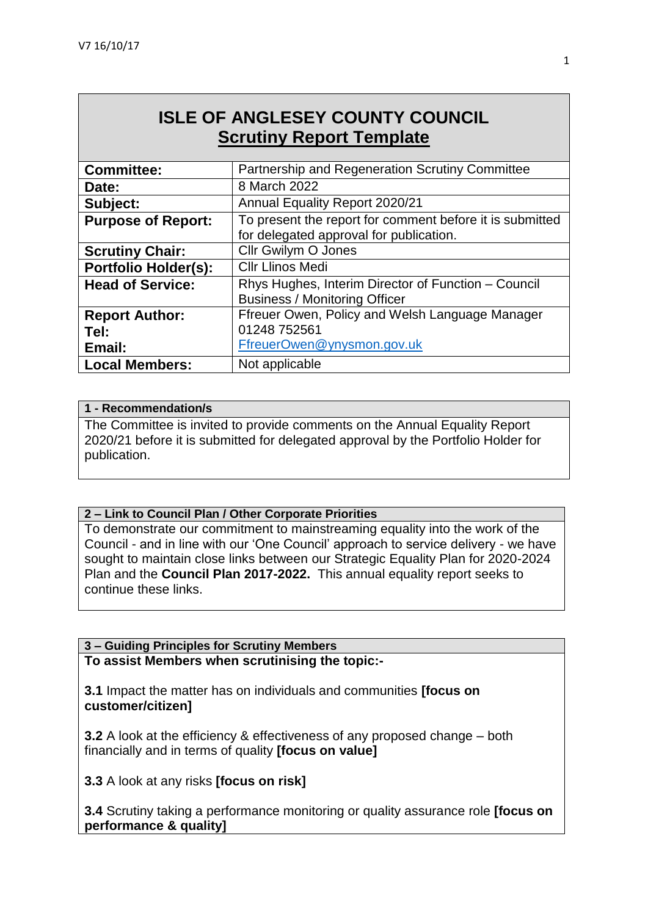# **ISLE OF ANGLESEY COUNTY COUNCIL Scrutiny Report Template**

| <b>Committee:</b>           | Partnership and Regeneration Scrutiny Committee                                             |
|-----------------------------|---------------------------------------------------------------------------------------------|
| Date:                       | 8 March 2022                                                                                |
| Subject:                    | Annual Equality Report 2020/21                                                              |
| <b>Purpose of Report:</b>   | To present the report for comment before it is submitted                                    |
|                             | for delegated approval for publication.                                                     |
| <b>Scrutiny Chair:</b>      | Cllr Gwilym O Jones                                                                         |
| <b>Portfolio Holder(s):</b> | <b>Cllr Llinos Medi</b>                                                                     |
| <b>Head of Service:</b>     | Rhys Hughes, Interim Director of Function - Council<br><b>Business / Monitoring Officer</b> |
| <b>Report Author:</b>       | Ffreuer Owen, Policy and Welsh Language Manager                                             |
| Tel:                        | 01248 752561                                                                                |
| Email:                      | FfreuerOwen@ynysmon.gov.uk                                                                  |
| <b>Local Members:</b>       | Not applicable                                                                              |

#### **1 - Recommendation/s**

The Committee is invited to provide comments on the Annual Equality Report 2020/21 before it is submitted for delegated approval by the Portfolio Holder for publication.

#### **2 – Link to Council Plan / Other Corporate Priorities**

To demonstrate our commitment to mainstreaming equality into the work of the Council - and in line with our 'One Council' approach to service delivery - we have sought to maintain close links between our Strategic Equality Plan for 2020-2024 Plan and the **Council Plan 2017-2022.** This annual equality report seeks to continue these links.

**3 – Guiding Principles for Scrutiny Members To assist Members when scrutinising the topic:-**

**3.1** Impact the matter has on individuals and communities **[focus on customer/citizen]**

**3.2** A look at the efficiency & effectiveness of any proposed change – both financially and in terms of quality **[focus on value]**

**3.3** A look at any risks **[focus on risk]** 

**3.4** Scrutiny taking a performance monitoring or quality assurance role **[focus on performance & quality]**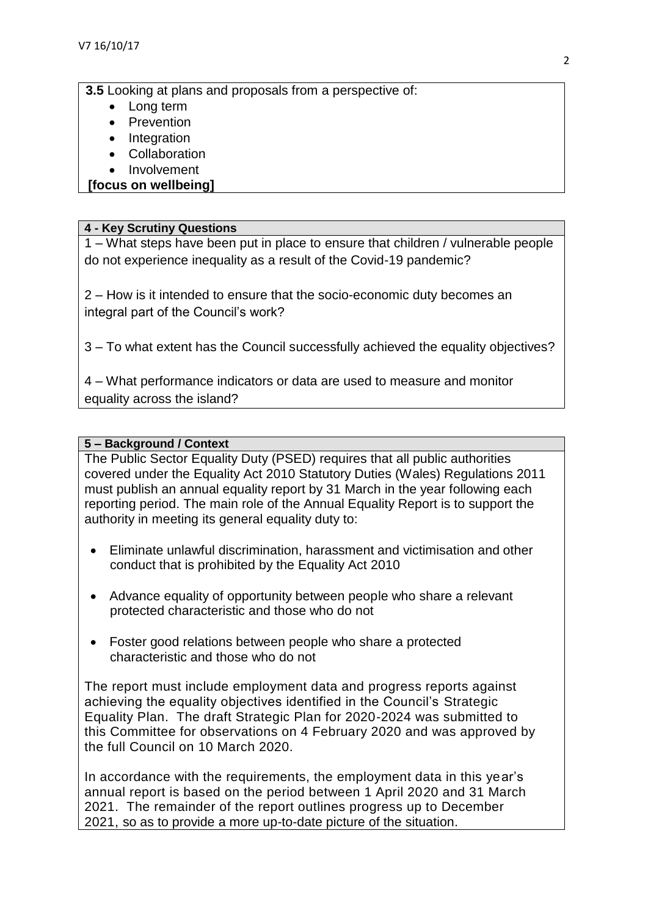**3.5** Looking at plans and proposals from a perspective of:

- Long term
- Prevention
- Integration
- Collaboration
- Involvement

#### **[focus on wellbeing]**

#### **4 - Key Scrutiny Questions**

1 – What steps have been put in place to ensure that children / vulnerable people do not experience inequality as a result of the Covid-19 pandemic?

2 – How is it intended to ensure that the socio-economic duty becomes an integral part of the Council's work?

3 – To what extent has the Council successfully achieved the equality objectives?

4 – What performance indicators or data are used to measure and monitor equality across the island?

#### **5 – Background / Context**

The Public Sector Equality Duty (PSED) requires that all public authorities covered under the Equality Act 2010 Statutory Duties (Wales) Regulations 2011 must publish an annual equality report by 31 March in the year following each reporting period. The main role of the Annual Equality Report is to support the authority in meeting its general equality duty to:

- Eliminate unlawful discrimination, harassment and victimisation and other conduct that is prohibited by the Equality Act 2010
- Advance equality of opportunity between people who share a relevant protected characteristic and those who do not
- Foster good relations between people who share a protected characteristic and those who do not

The report must include employment data and progress reports against achieving the equality objectives identified in the Council's Strategic Equality Plan. The draft Strategic Plan for 2020-2024 was submitted to this Committee for observations on 4 February 2020 and was approved by the full Council on 10 March 2020.

In accordance with the requirements, the employment data in this year's annual report is based on the period between 1 April 2020 and 31 March 2021. The remainder of the report outlines progress up to December 2021, so as to provide a more up-to-date picture of the situation.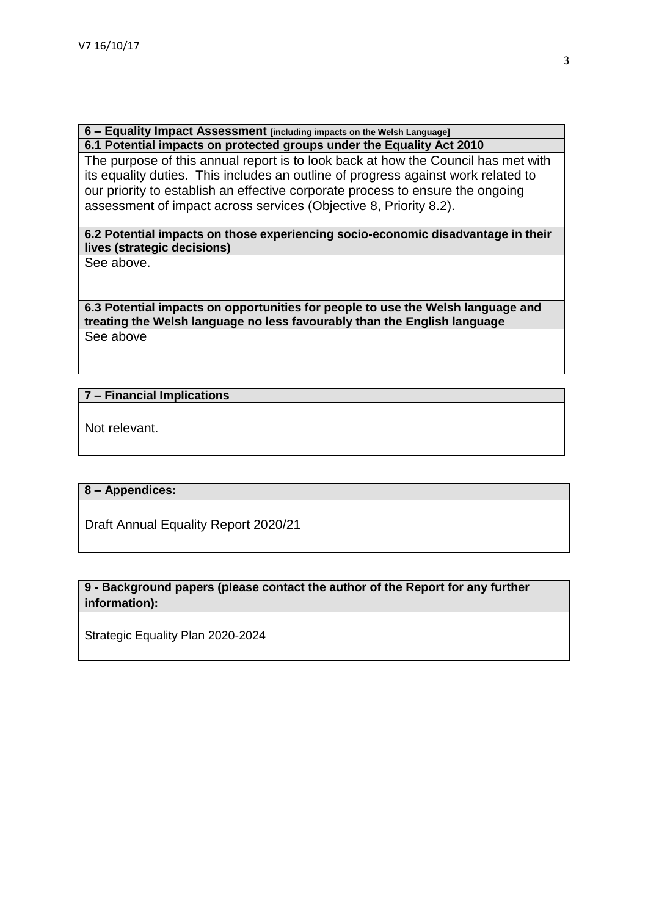**6 – Equality Impact Assessment [including impacts on the Welsh Language] 6.1 Potential impacts on protected groups under the Equality Act 2010**

The purpose of this annual report is to look back at how the Council has met with its equality duties. This includes an outline of progress against work related to our priority to establish an effective corporate process to ensure the ongoing assessment of impact across services (Objective 8, Priority 8.2).

#### **6.2 Potential impacts on those experiencing socio-economic disadvantage in their lives (strategic decisions)**

See above.

**6.3 Potential impacts on opportunities for people to use the Welsh language and treating the Welsh language no less favourably than the English language** See above

#### **7 – Financial Implications**

Not relevant.

#### **8 – Appendices:**

Draft Annual Equality Report 2020/21

#### **9 - Background papers (please contact the author of the Report for any further information):**

Strategic Equality Plan 2020-2024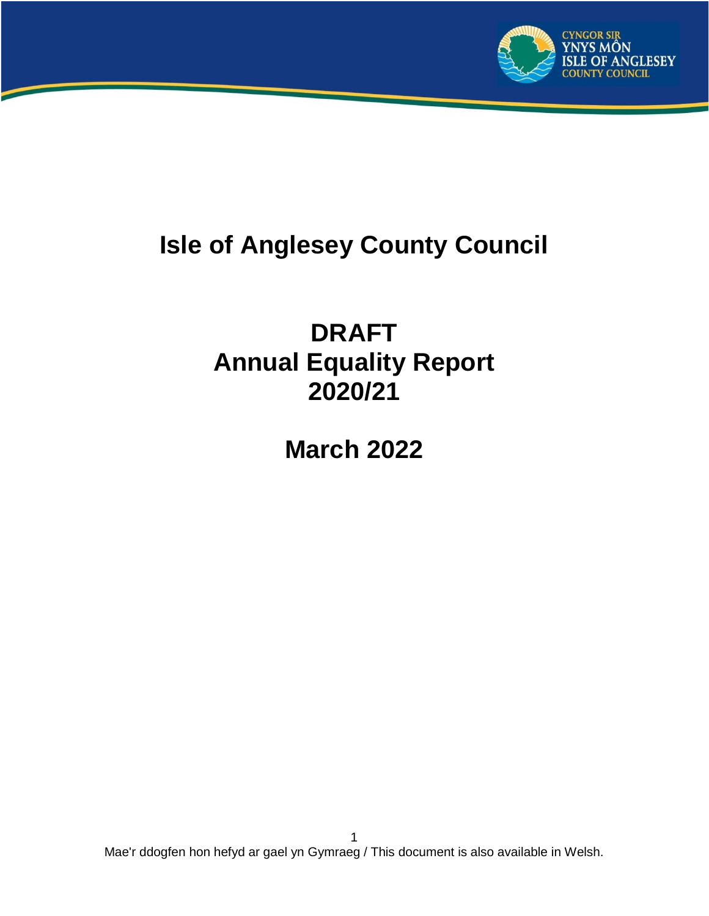

# **Isle of Anglesey County Council**

# **DRAFT Annual Equality Report 2020/21**

**March 2022**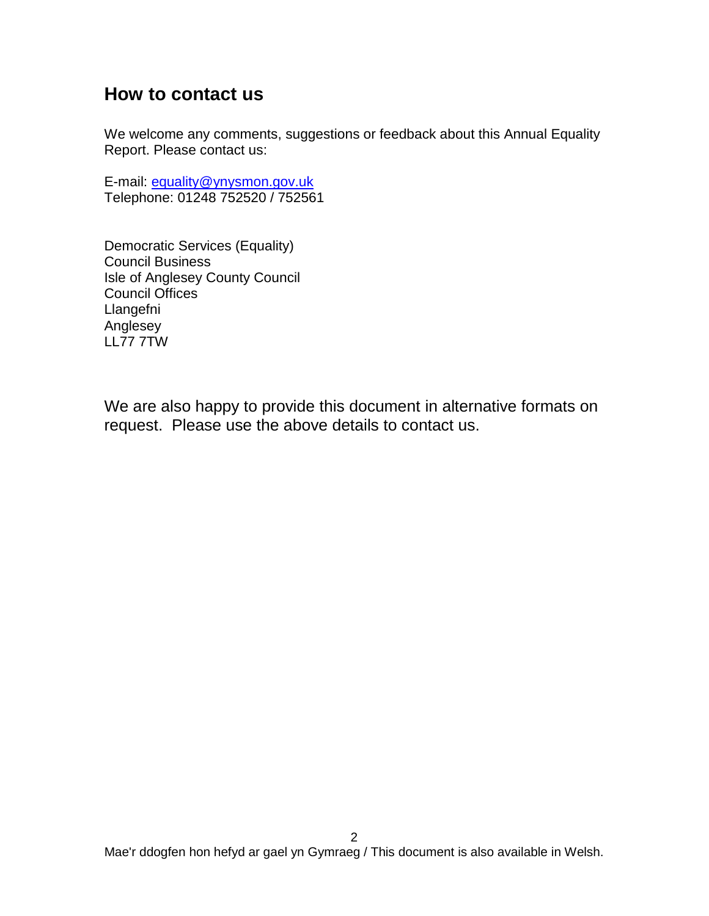## **How to contact us**

We welcome any comments, suggestions or feedback about this Annual Equality Report. Please contact us:

E-mail: [equality@ynysmon.gov.uk](mailto:equality@ynysmon.gov.uk) Telephone: 01248 752520 / 752561

Democratic Services (Equality) Council Business Isle of Anglesey County Council Council Offices Llangefni Anglesey LL77 7TW

We are also happy to provide this document in alternative formats on request. Please use the above details to contact us.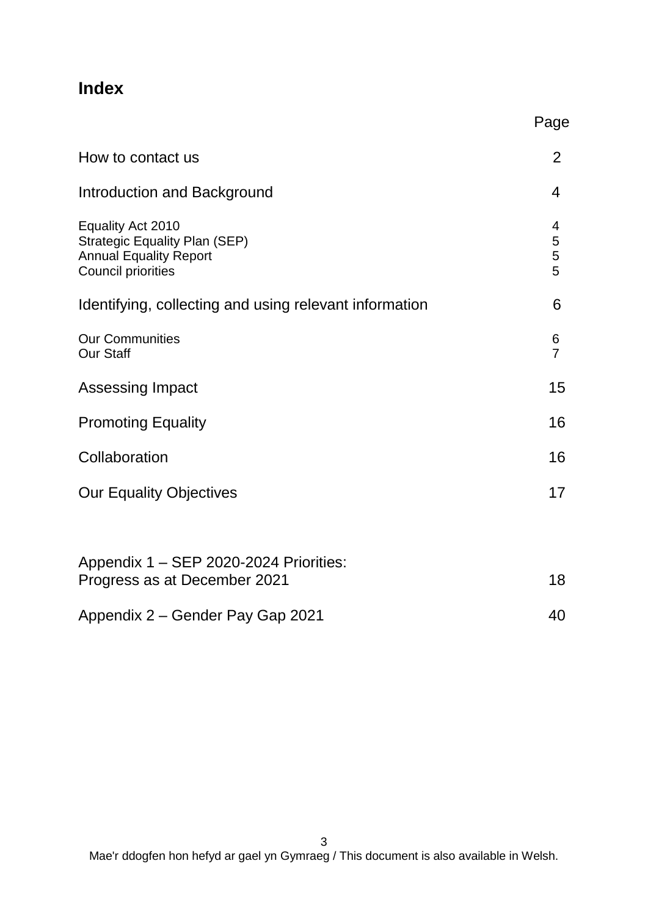# **Index**

|                                                                                                                         | Page                      |
|-------------------------------------------------------------------------------------------------------------------------|---------------------------|
| How to contact us                                                                                                       | 2                         |
| <b>Introduction and Background</b>                                                                                      | 4                         |
| Equality Act 2010<br><b>Strategic Equality Plan (SEP)</b><br><b>Annual Equality Report</b><br><b>Council priorities</b> | 4<br>5<br>$\sqrt{5}$<br>5 |
| Identifying, collecting and using relevant information                                                                  | 6                         |
| <b>Our Communities</b><br><b>Our Staff</b>                                                                              | 6<br>$\overline{7}$       |
| <b>Assessing Impact</b>                                                                                                 | 15                        |
| <b>Promoting Equality</b>                                                                                               | 16                        |
| Collaboration                                                                                                           | 16                        |
| <b>Our Equality Objectives</b>                                                                                          | 17                        |
| Appendix 1 - SEP 2020-2024 Priorities:<br>Progress as at December 2021                                                  | 18                        |
| Appendix 2 – Gender Pay Gap 2021                                                                                        | 40                        |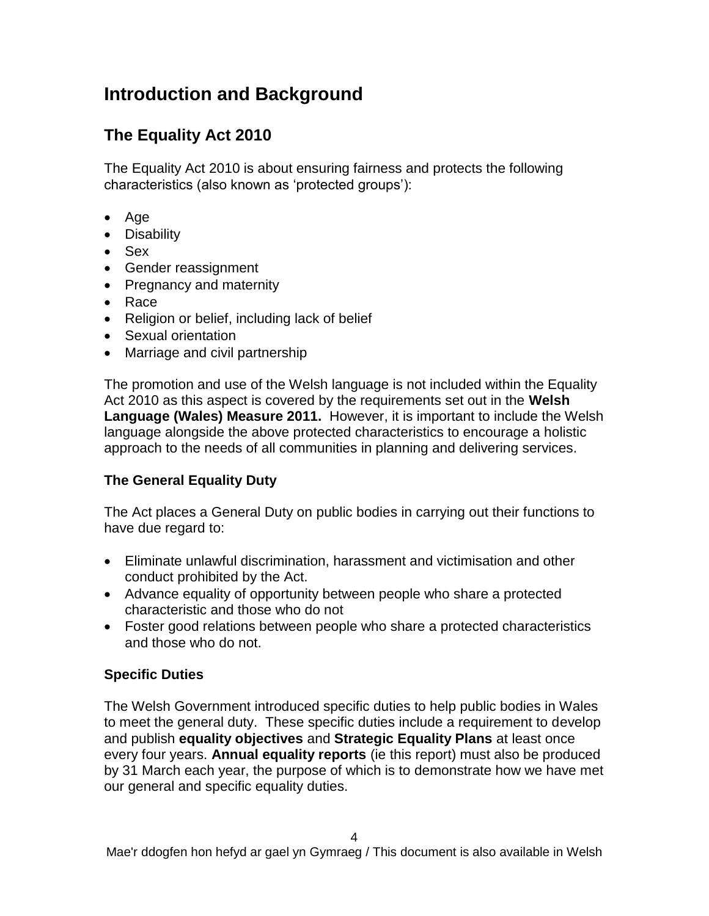# **Introduction and Background**

# **The Equality Act 2010**

The Equality Act 2010 is about ensuring fairness and protects the following characteristics (also known as 'protected groups'):

- $\bullet$  Age
- Disability
- Sex
- Gender reassignment
- Pregnancy and maternity
- Race
- Religion or belief, including lack of belief
- Sexual orientation
- Marriage and civil partnership

The promotion and use of the Welsh language is not included within the Equality Act 2010 as this aspect is covered by the requirements set out in the **Welsh Language (Wales) Measure 2011.** However, it is important to include the Welsh language alongside the above protected characteristics to encourage a holistic approach to the needs of all communities in planning and delivering services.

## **The General Equality Duty**

The Act places a General Duty on public bodies in carrying out their functions to have due regard to:

- Eliminate unlawful discrimination, harassment and victimisation and other conduct prohibited by the Act.
- Advance equality of opportunity between people who share a protected characteristic and those who do not
- Foster good relations between people who share a protected characteristics and those who do not.

#### **Specific Duties**

The Welsh Government introduced specific duties to help public bodies in Wales to meet the general duty. These specific duties include a requirement to develop and publish **equality objectives** and **Strategic Equality Plans** at least once every four years. **Annual equality reports** (ie this report) must also be produced by 31 March each year, the purpose of which is to demonstrate how we have met our general and specific equality duties.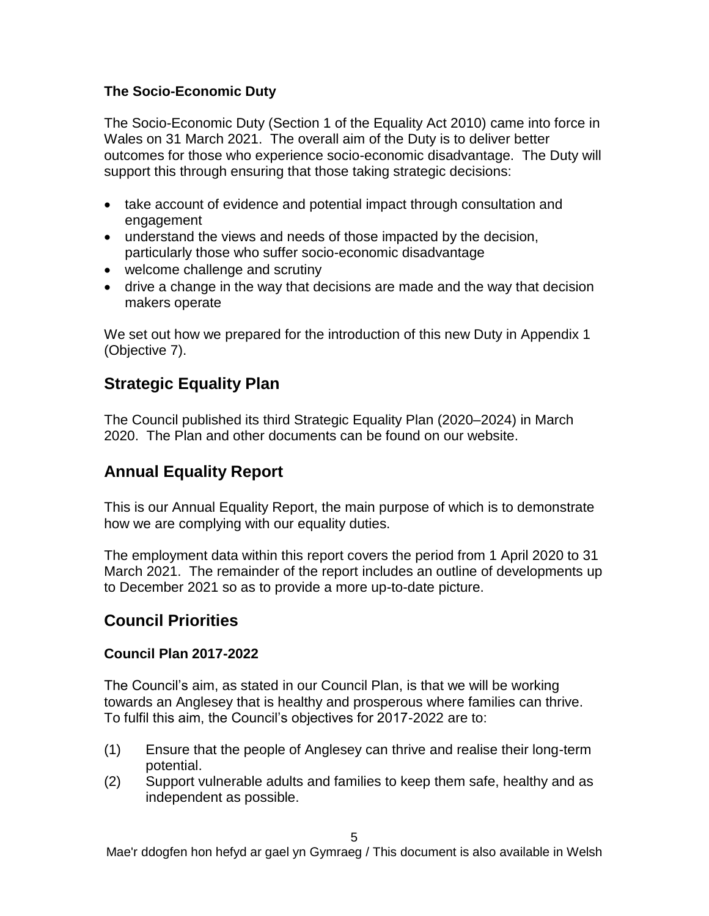#### **The Socio-Economic Duty**

The Socio-Economic Duty (Section 1 of the Equality Act 2010) came into force in Wales on 31 March 2021. The overall aim of the Duty is to deliver better outcomes for those who experience socio-economic disadvantage. The Duty will support this through ensuring that those taking strategic decisions:

- take account of evidence and potential impact through consultation and engagement
- understand the views and needs of those impacted by the decision, particularly those who suffer socio-economic disadvantage
- welcome challenge and scrutiny
- drive a change in the way that decisions are made and the way that decision makers operate

We set out how we prepared for the introduction of this new Duty in Appendix 1 (Objective 7).

## **Strategic Equality Plan**

The Council published its third Strategic Equality Plan (2020–2024) in March 2020. The Plan and other documents can be found on our website.

## **Annual Equality Report**

This is our Annual Equality Report, the main purpose of which is to demonstrate how we are complying with our equality duties.

The employment data within this report covers the period from 1 April 2020 to 31 March 2021. The remainder of the report includes an outline of developments up to December 2021 so as to provide a more up-to-date picture.

## **Council Priorities**

#### **Council Plan 2017-2022**

The Council's aim, as stated in our Council Plan, is that we will be working towards an Anglesey that is healthy and prosperous where families can thrive. To fulfil this aim, the Council's objectives for 2017-2022 are to:

- (1) Ensure that the people of Anglesey can thrive and realise their long-term potential.
- (2) Support vulnerable adults and families to keep them safe, healthy and as independent as possible.

Mae'r ddogfen hon hefyd ar gael yn Gymraeg / This document is also available in Welsh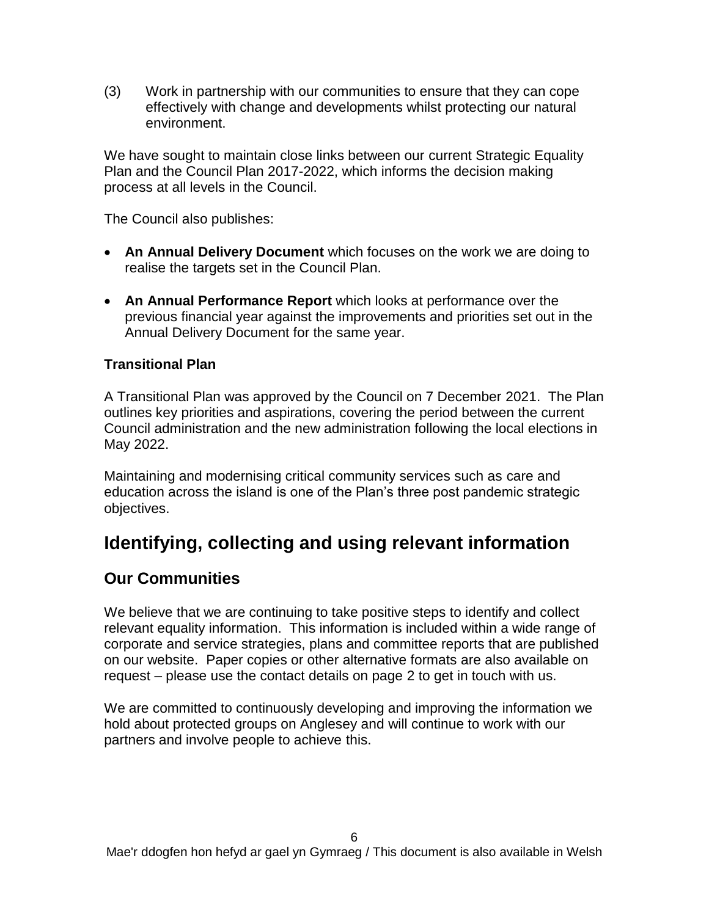(3) Work in partnership with our communities to ensure that they can cope effectively with change and developments whilst protecting our natural environment.

We have sought to maintain close links between our current Strategic Equality Plan and the Council Plan 2017-2022, which informs the decision making process at all levels in the Council.

The Council also publishes:

- **An Annual Delivery Document** which focuses on the work we are doing to realise the targets set in the Council Plan.
- **An Annual Performance Report** which looks at performance over the previous financial year against the improvements and priorities set out in the Annual Delivery Document for the same year.

#### **Transitional Plan**

A Transitional Plan was approved by the Council on 7 December 2021. The Plan outlines key priorities and aspirations, covering the period between the current Council administration and the new administration following the local elections in May 2022.

Maintaining and modernising critical community services such as care and education across the island is one of the Plan's three post pandemic strategic objectives.

# **Identifying, collecting and using relevant information**

## **Our Communities**

We believe that we are continuing to take positive steps to identify and collect relevant equality information. This information is included within a wide range of corporate and service strategies, plans and committee reports that are published on our website. Paper copies or other alternative formats are also available on request – please use the contact details on page 2 to get in touch with us.

We are committed to continuously developing and improving the information we hold about protected groups on Anglesey and will continue to work with our partners and involve people to achieve this.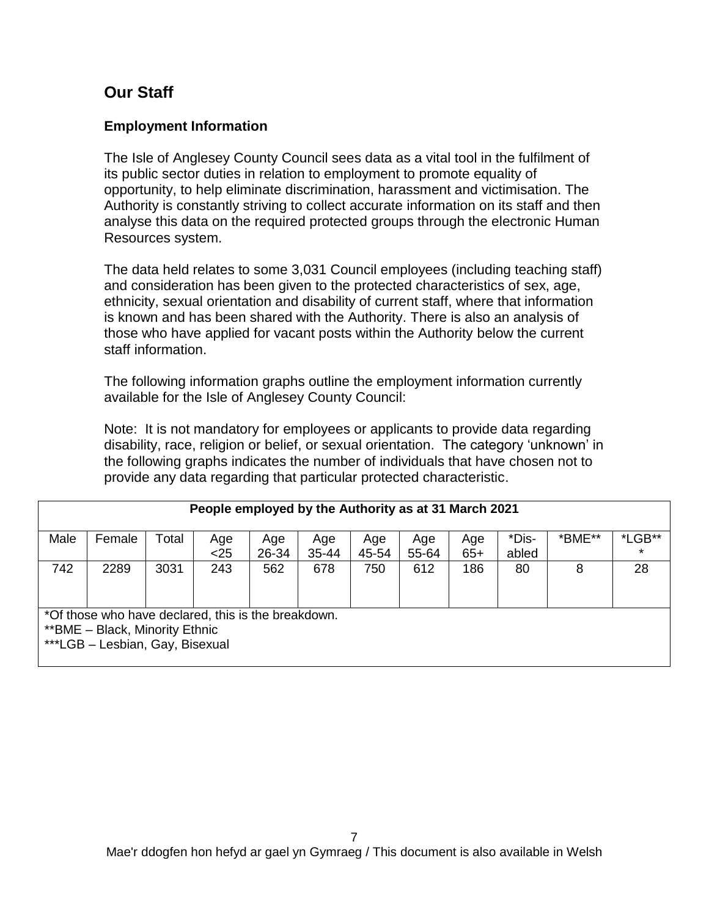## **Our Staff**

#### **Employment Information**

The Isle of Anglesey County Council sees data as a vital tool in the fulfilment of its public sector duties in relation to employment to promote equality of opportunity, to help eliminate discrimination, harassment and victimisation. The Authority is constantly striving to collect accurate information on its staff and then analyse this data on the required protected groups through the electronic Human Resources system.

The data held relates to some 3,031 Council employees (including teaching staff) and consideration has been given to the protected characteristics of sex, age, ethnicity, sexual orientation and disability of current staff, where that information is known and has been shared with the Authority. There is also an analysis of those who have applied for vacant posts within the Authority below the current staff information.

The following information graphs outline the employment information currently available for the Isle of Anglesey County Council:

Note: It is not mandatory for employees or applicants to provide data regarding disability, race, religion or belief, or sexual orientation. The category 'unknown' in the following graphs indicates the number of individuals that have chosen not to provide any data regarding that particular protected characteristic.

|      | People employed by the Authority as at 31 March 2021                                                                      |       |             |              |              |              |              |              |                |        |                   |  |  |
|------|---------------------------------------------------------------------------------------------------------------------------|-------|-------------|--------------|--------------|--------------|--------------|--------------|----------------|--------|-------------------|--|--|
| Male | Female                                                                                                                    | Total | Age<br>$25$ | Age<br>26-34 | Age<br>35-44 | Age<br>45-54 | Age<br>55-64 | Age<br>$65+$ | *Dis-<br>abled | *BME** | *LGB**<br>$\star$ |  |  |
| 742  | 2289                                                                                                                      | 3031  | 243         | 562          | 678          | 750          | 612          | 186          | 80             | 8      | 28                |  |  |
|      | *Of those who have declared, this is the breakdown.<br>** BME - Black, Minority Ethnic<br>***LGB - Lesbian, Gay, Bisexual |       |             |              |              |              |              |              |                |        |                   |  |  |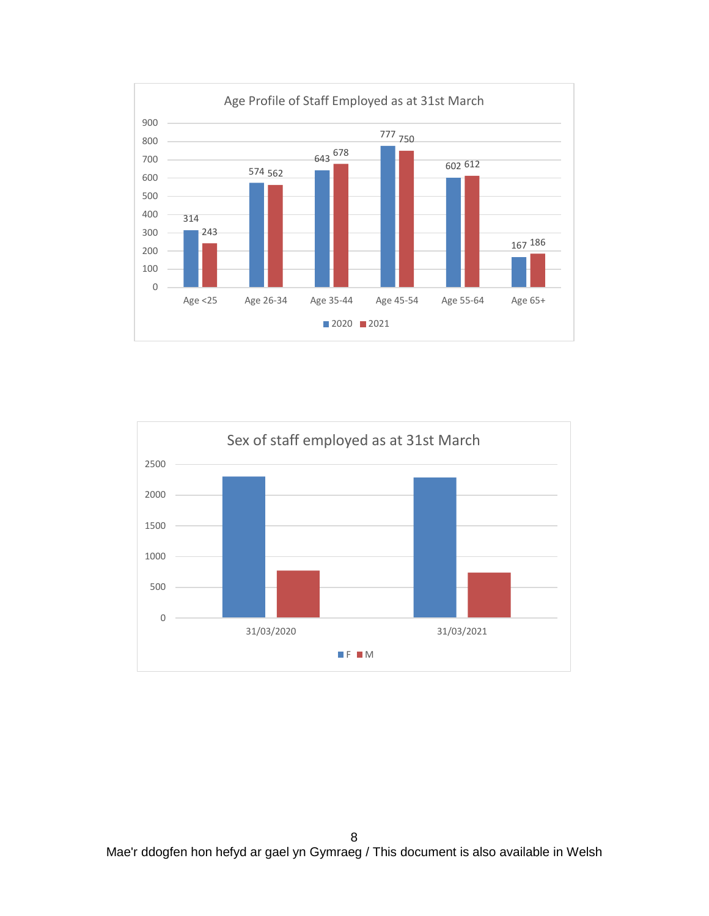

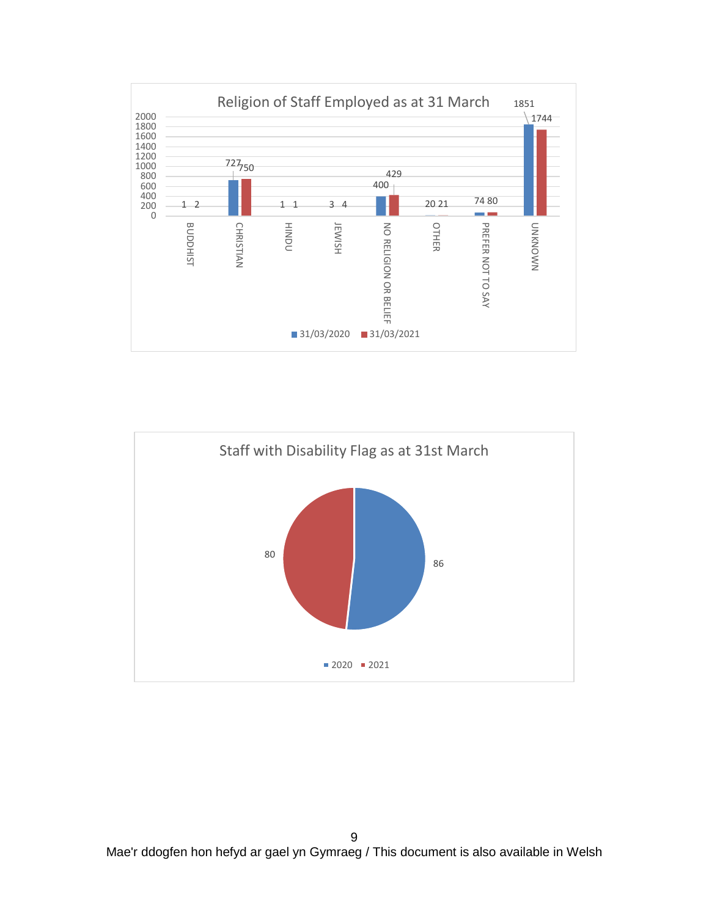

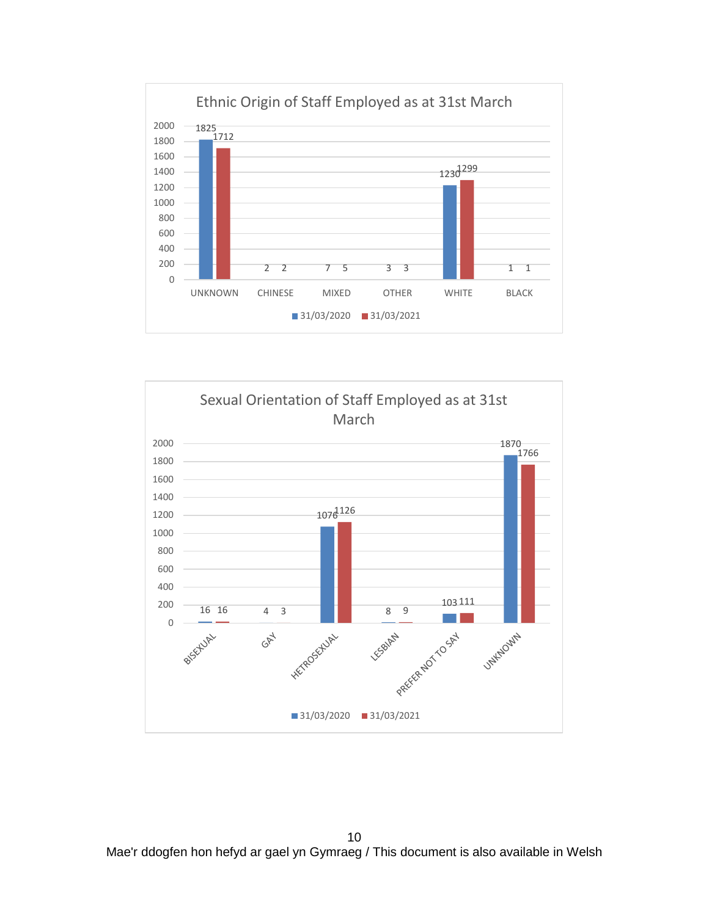



 Mae'r ddogfen hon hefyd ar gael yn Gymraeg / This document is also available in Welsh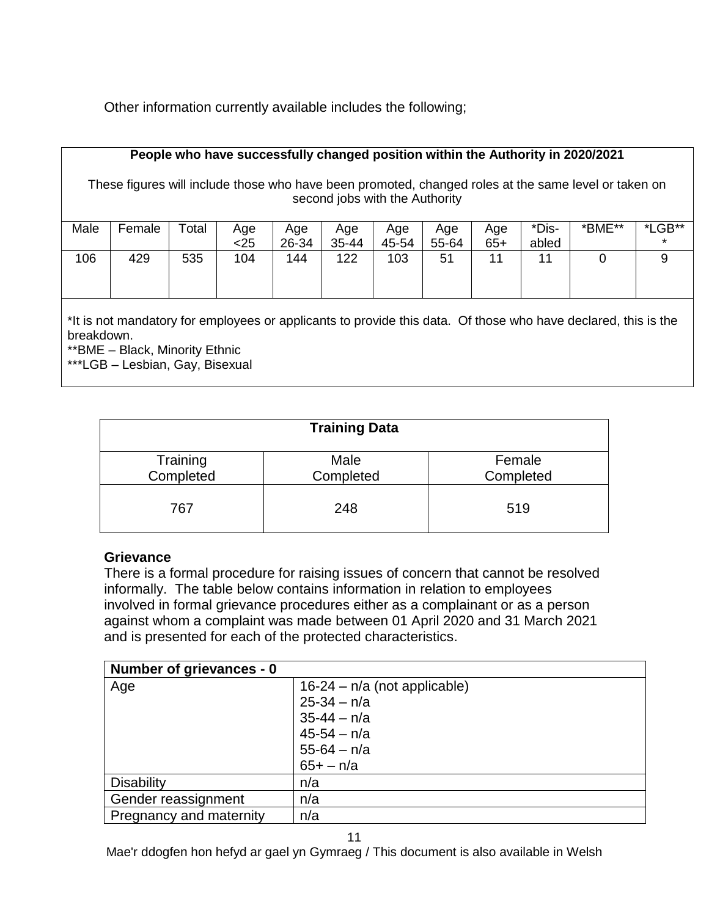Other information currently available includes the following;

#### **People who have successfully changed position within the Authority in 2020/2021**

These figures will include those who have been promoted, changed roles at the same level or taken on second jobs with the Authority

| Male | Female | $\mathsf{Total}$ | Age<br><25 | Age<br>26-34 | Age<br>35-44 | Age<br>45-54 | Age<br>55-64 | Age<br>$65+$   | *Dis-<br>abled | *BME** | *LGB**<br>$\star$ |
|------|--------|------------------|------------|--------------|--------------|--------------|--------------|----------------|----------------|--------|-------------------|
| 106  | 429    | 535              | 104        | 144          | 122          | 103          | 51           | 4 <sub>4</sub> | 11             |        |                   |

\*It is not mandatory for employees or applicants to provide this data. Of those who have declared, this is the breakdown.

\*\*BME – Black, Minority Ethnic

\*\*\*LGB – Lesbian, Gay, Bisexual

| <b>Training Data</b>  |                   |                     |  |  |  |  |  |  |  |  |
|-----------------------|-------------------|---------------------|--|--|--|--|--|--|--|--|
| Training<br>Completed | Male<br>Completed | Female<br>Completed |  |  |  |  |  |  |  |  |
| 767                   | 248               | 519                 |  |  |  |  |  |  |  |  |

#### **Grievance**

There is a formal procedure for raising issues of concern that cannot be resolved informally.The table below contains information in relation to employees involved in formal grievance procedures either as a complainant or as a person against whom a complaint was made between 01 April 2020 and 31 March 2021 and is presented for each of the protected characteristics.

| Number of grievances - 0 |                                |
|--------------------------|--------------------------------|
| Age                      | $16-24 - n/a$ (not applicable) |
|                          | $25 - 34 - n/a$                |
|                          | $35 - 44 - n/a$                |
|                          | $45 - 54 - n/a$                |
|                          | $55 - 64 - n/a$                |
|                          | $65 + - n/a$                   |
| <b>Disability</b>        | n/a                            |
| Gender reassignment      | n/a                            |
| Pregnancy and maternity  | n/a                            |

Mae'r ddogfen hon hefyd ar gael yn Gymraeg / This document is also available in Welsh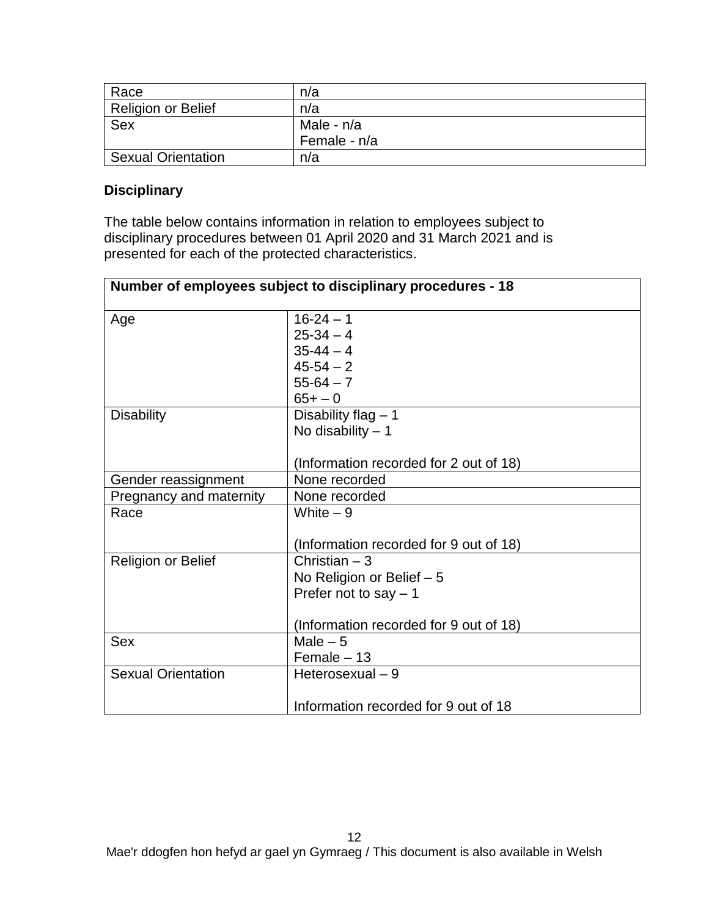| Race                      | n/a          |
|---------------------------|--------------|
| <b>Religion or Belief</b> | n/a          |
| <b>Sex</b>                | Male - n/a   |
|                           | Female - n/a |
| <b>Sexual Orientation</b> | n/a          |

#### **Disciplinary**

The table below contains information in relation to employees subject to disciplinary procedures between 01 April 2020 and 31 March 2021 and is presented for each of the protected characteristics.

|                           | Number of employees subject to disciplinary procedures - 18 |
|---------------------------|-------------------------------------------------------------|
| Age                       | $16 - 24 - 1$                                               |
|                           | $25-34-4$                                                   |
|                           | $35 - 44 - 4$                                               |
|                           | $45 - 54 - 2$                                               |
|                           | $55-64-7$                                                   |
|                           | $65 + - 0$                                                  |
| <b>Disability</b>         | Disability flag $-1$                                        |
|                           | No disability $-1$                                          |
|                           |                                                             |
|                           | (Information recorded for 2 out of 18)                      |
| Gender reassignment       | None recorded                                               |
| Pregnancy and maternity   | None recorded                                               |
| Race                      | White $-9$                                                  |
|                           |                                                             |
|                           | (Information recorded for 9 out of 18)                      |
| <b>Religion or Belief</b> | Christian - 3                                               |
|                           | No Religion or Belief - 5                                   |
|                           | Prefer not to say $-1$                                      |
|                           |                                                             |
|                           | (Information recorded for 9 out of 18)                      |
| <b>Sex</b>                | Male $-5$                                                   |
|                           | $Female - 13$                                               |
| <b>Sexual Orientation</b> | Heterosexual - 9                                            |
|                           |                                                             |
|                           | Information recorded for 9 out of 18                        |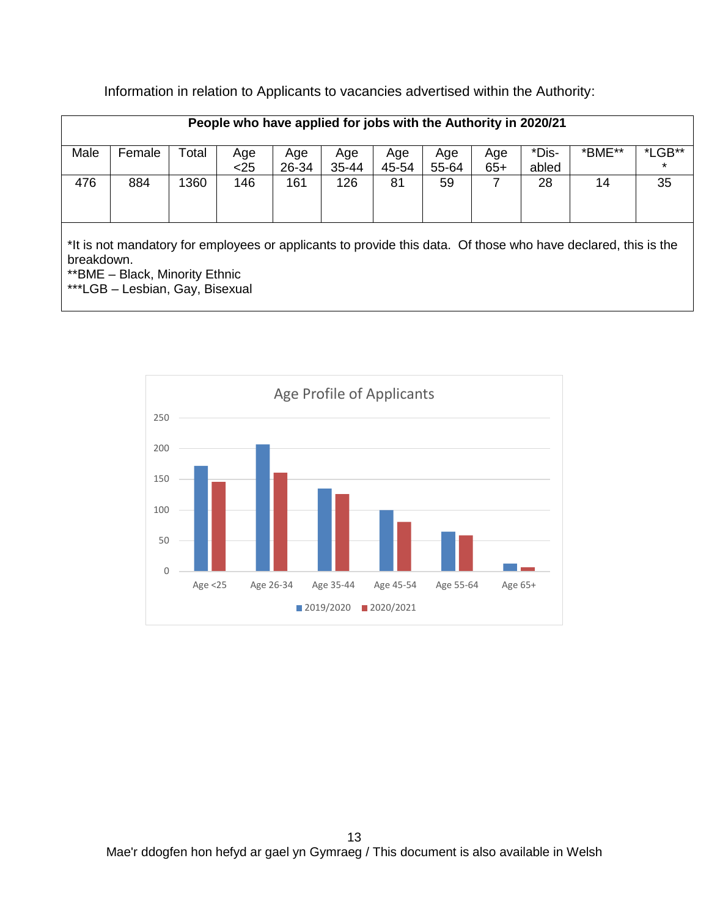|      | People who have applied for jobs with the Authority in 2020/21 |       |             |              |              |              |              |              |                |        |                   |  |  |
|------|----------------------------------------------------------------|-------|-------------|--------------|--------------|--------------|--------------|--------------|----------------|--------|-------------------|--|--|
| Male | Female                                                         | `otal | Age<br>$25$ | Age<br>26-34 | Age<br>35-44 | Age<br>45-54 | Age<br>55-64 | Age<br>$65+$ | *Dis-<br>abled | *BME** | *LGB**<br>$\star$ |  |  |
| 476  | 884                                                            | 360   | 146         | 161          | 126          | 81           | 59           |              | 28             | 14     | 35                |  |  |

Information in relation to Applicants to vacancies advertised within the Authority:

\*It is not mandatory for employees or applicants to provide this data. Of those who have declared, this is the breakdown.

\*\*BME – Black, Minority Ethnic

\*\*\*LGB – Lesbian, Gay, Bisexual

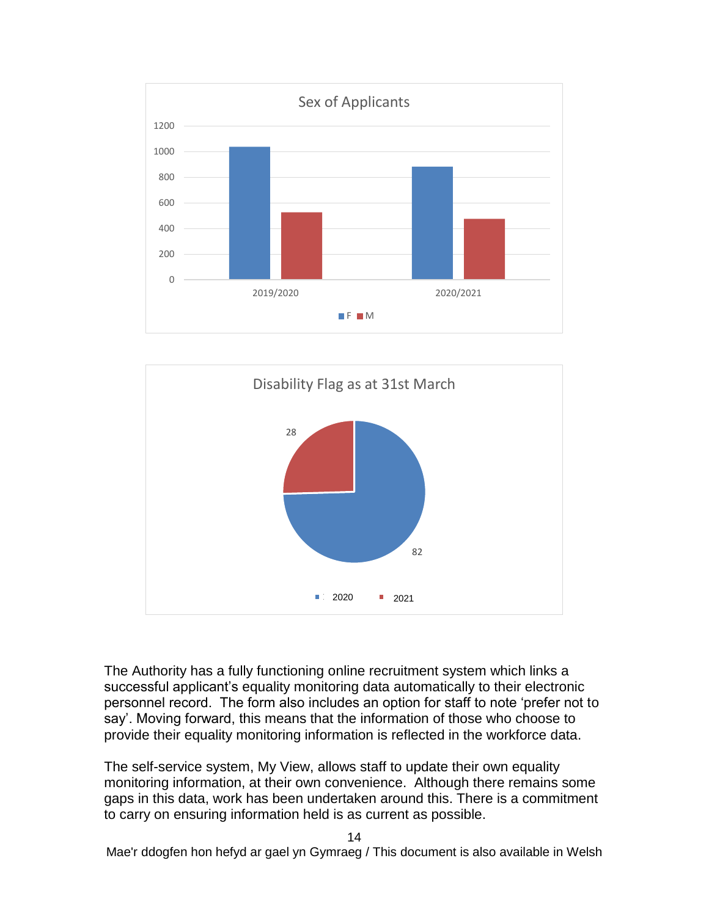



The Authority has a fully functioning online recruitment system which links a successful applicant's equality monitoring data automatically to their electronic personnel record. The form also includes an option for staff to note 'prefer not to say'. Moving forward, this means that the information of those who choose to provide their equality monitoring information is reflected in the workforce data.

The self-service system, My View, allows staff to update their own equality monitoring information, at their own convenience. Although there remains some gaps in this data, work has been undertaken around this. There is a commitment to carry on ensuring information held is as current as possible.

Mae'r ddogfen hon hefyd ar gael yn Gymraeg / This document is also available in Welsh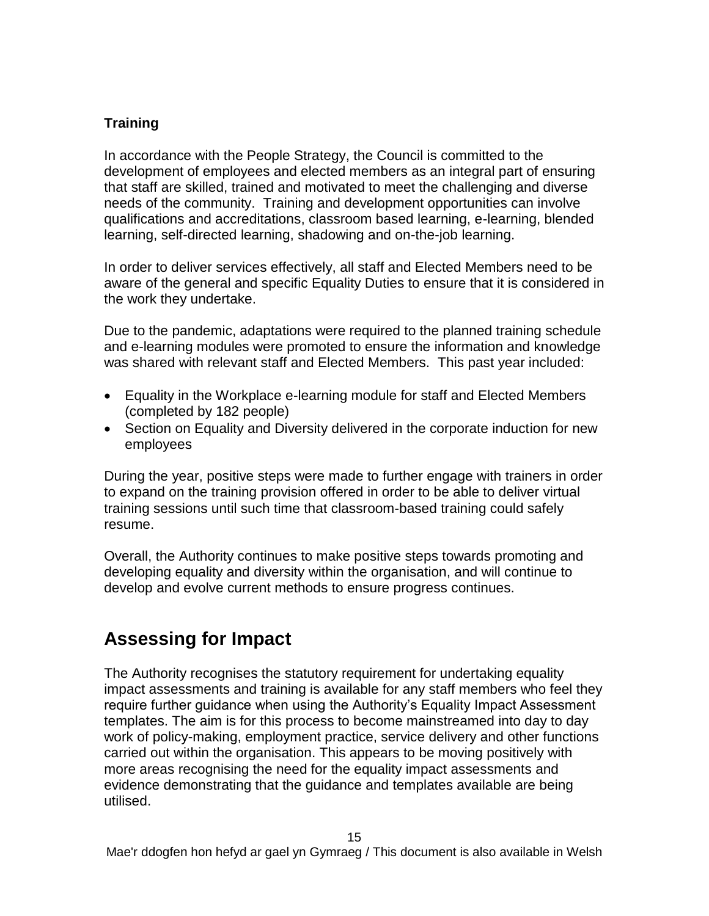#### **Training**

In accordance with the People Strategy, the Council is committed to the development of employees and elected members as an integral part of ensuring that staff are skilled, trained and motivated to meet the challenging and diverse needs of the community. Training and development opportunities can involve qualifications and accreditations, classroom based learning, e-learning, blended learning, self-directed learning, shadowing and on-the-job learning.

In order to deliver services effectively, all staff and Elected Members need to be aware of the general and specific Equality Duties to ensure that it is considered in the work they undertake.

Due to the pandemic, adaptations were required to the planned training schedule and e-learning modules were promoted to ensure the information and knowledge was shared with relevant staff and Elected Members. This past year included:

- Equality in the Workplace e-learning module for staff and Elected Members (completed by 182 people)
- Section on Equality and Diversity delivered in the corporate induction for new employees

During the year, positive steps were made to further engage with trainers in order to expand on the training provision offered in order to be able to deliver virtual training sessions until such time that classroom-based training could safely resume.

Overall, the Authority continues to make positive steps towards promoting and developing equality and diversity within the organisation, and will continue to develop and evolve current methods to ensure progress continues.

# **Assessing for Impact**

The Authority recognises the statutory requirement for undertaking equality impact assessments and training is available for any staff members who feel they require further guidance when using the Authority's Equality Impact Assessment templates. The aim is for this process to become mainstreamed into day to day work of policy-making, employment practice, service delivery and other functions carried out within the organisation. This appears to be moving positively with more areas recognising the need for the equality impact assessments and evidence demonstrating that the guidance and templates available are being utilised.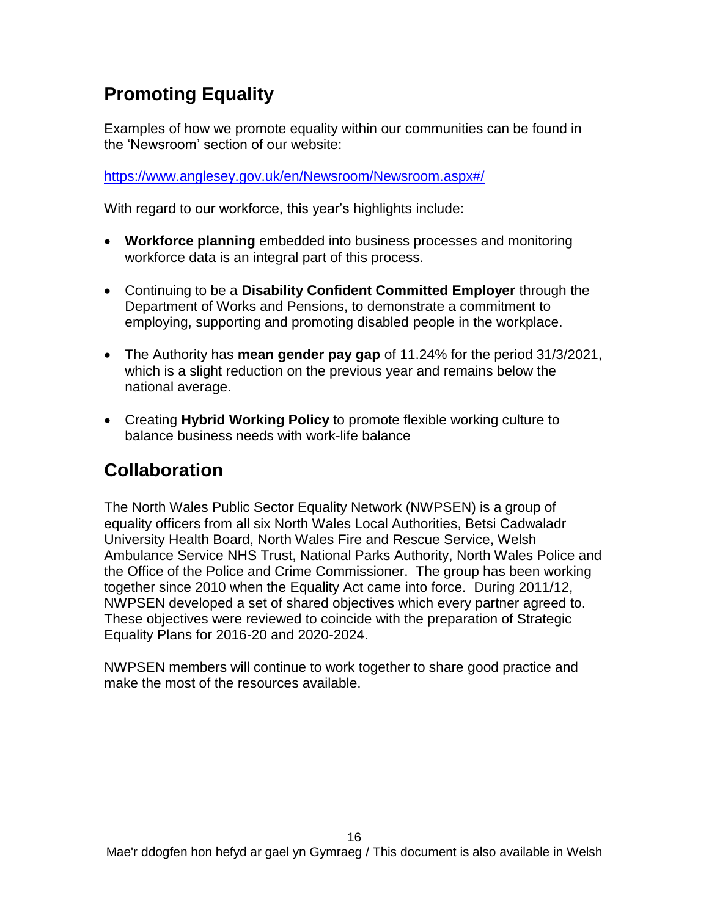# **Promoting Equality**

Examples of how we promote equality within our communities can be found in the 'Newsroom' section of our website:

<https://www.anglesey.gov.uk/en/Newsroom/Newsroom.aspx#/>

With regard to our workforce, this year's highlights include:

- **Workforce planning** embedded into business processes and monitoring workforce data is an integral part of this process.
- Continuing to be a **Disability Confident Committed Employer** through the Department of Works and Pensions, to demonstrate a commitment to employing, supporting and promoting disabled people in the workplace.
- The Authority has **mean gender pay gap** of 11.24% for the period 31/3/2021, which is a slight reduction on the previous year and remains below the national average.
- Creating **Hybrid Working Policy** to promote flexible working culture to balance business needs with work-life balance

# **Collaboration**

The North Wales Public Sector Equality Network (NWPSEN) is a group of equality officers from all six North Wales Local Authorities, Betsi Cadwaladr University Health Board, North Wales Fire and Rescue Service, Welsh Ambulance Service NHS Trust, National Parks Authority, North Wales Police and the Office of the Police and Crime Commissioner. The group has been working together since 2010 when the Equality Act came into force. During 2011/12, NWPSEN developed a set of shared objectives which every partner agreed to. These objectives were reviewed to coincide with the preparation of Strategic Equality Plans for 2016-20 and 2020-2024.

NWPSEN members will continue to work together to share good practice and make the most of the resources available.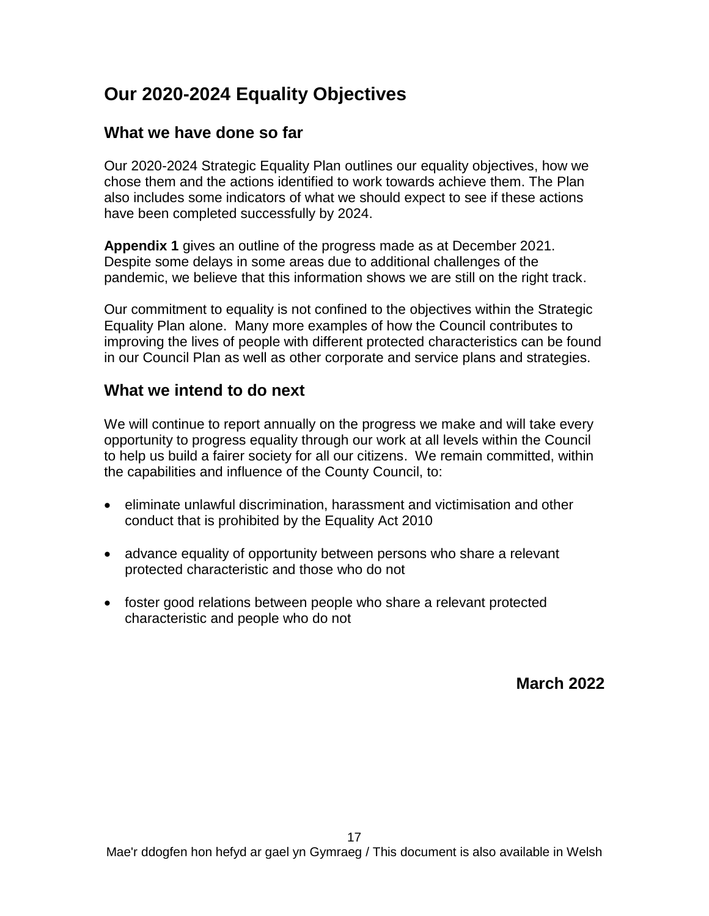# **Our 2020-2024 Equality Objectives**

## **What we have done so far**

Our 2020-2024 Strategic Equality Plan outlines our equality objectives, how we chose them and the actions identified to work towards achieve them. The Plan also includes some indicators of what we should expect to see if these actions have been completed successfully by 2024.

**Appendix 1** gives an outline of the progress made as at December 2021. Despite some delays in some areas due to additional challenges of the pandemic, we believe that this information shows we are still on the right track.

Our commitment to equality is not confined to the objectives within the Strategic Equality Plan alone. Many more examples of how the Council contributes to improving the lives of people with different protected characteristics can be found in our Council Plan as well as other corporate and service plans and strategies.

## **What we intend to do next**

We will continue to report annually on the progress we make and will take every opportunity to progress equality through our work at all levels within the Council to help us build a fairer society for all our citizens. We remain committed, within the capabilities and influence of the County Council, to:

- eliminate unlawful discrimination, harassment and victimisation and other conduct that is prohibited by the Equality Act 2010
- advance equality of opportunity between persons who share a relevant protected characteristic and those who do not
- foster good relations between people who share a relevant protected characteristic and people who do not

**March 2022**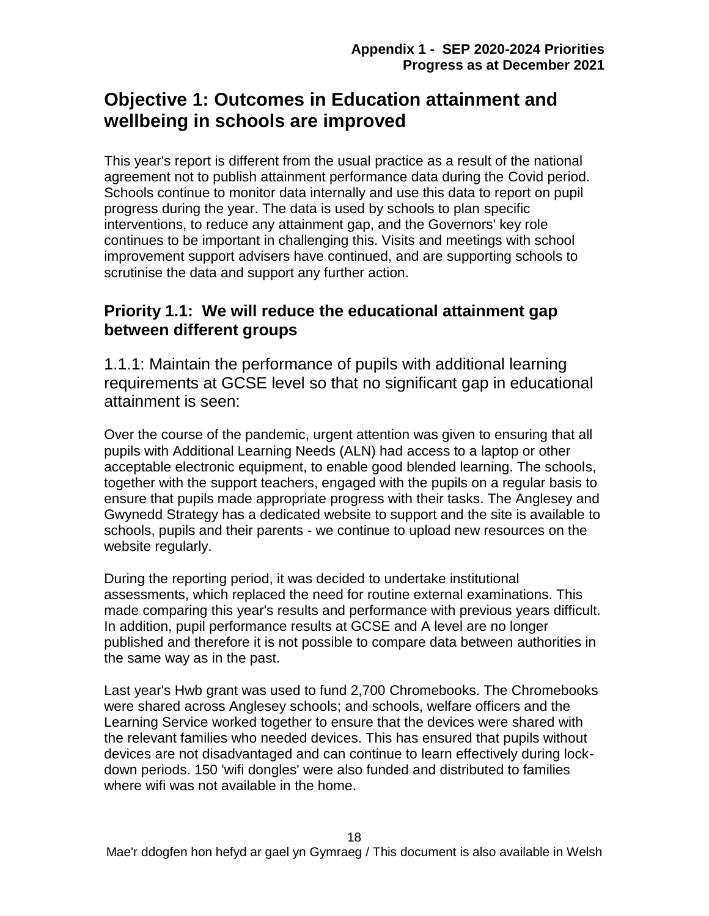# **Objective 1: Outcomes in Education attainment and wellbeing in schools are improved**

This year's report is different from the usual practice as a result of the national agreement not to publish attainment performance data during the Covid period. Schools continue to monitor data internally and use this data to report on pupil progress during the year. The data is used by schools to plan specific interventions, to reduce any attainment gap, and the Governors' key role continues to be important in challenging this. Visits and meetings with school improvement support advisers have continued, and are supporting schools to scrutinise the data and support any further action.

## **Priority 1.1: We will reduce the educational attainment gap between different groups**

1.1.1: Maintain the performance of pupils with additional learning requirements at GCSE level so that no significant gap in educational attainment is seen:

Over the course of the pandemic, urgent attention was given to ensuring that all pupils with Additional Learning Needs (ALN) had access to a laptop or other acceptable electronic equipment, to enable good blended learning. The schools, together with the support teachers, engaged with the pupils on a regular basis to ensure that pupils made appropriate progress with their tasks. The Anglesey and Gwynedd Strategy has a dedicated website to support and the site is available to schools, pupils and their parents - we continue to upload new resources on the website regularly.

During the reporting period, it was decided to undertake institutional assessments, which replaced the need for routine external examinations. This made comparing this year's results and performance with previous years difficult. In addition, pupil performance results at GCSE and A level are no longer published and therefore it is not possible to compare data between authorities in the same way as in the past.

Last year's Hwb grant was used to fund 2,700 Chromebooks. The Chromebooks were shared across Anglesey schools; and schools, welfare officers and the Learning Service worked together to ensure that the devices were shared with the relevant families who needed devices. This has ensured that pupils without devices are not disadvantaged and can continue to learn effectively during lockdown periods. 150 'wifi dongles' were also funded and distributed to families where wifi was not available in the home.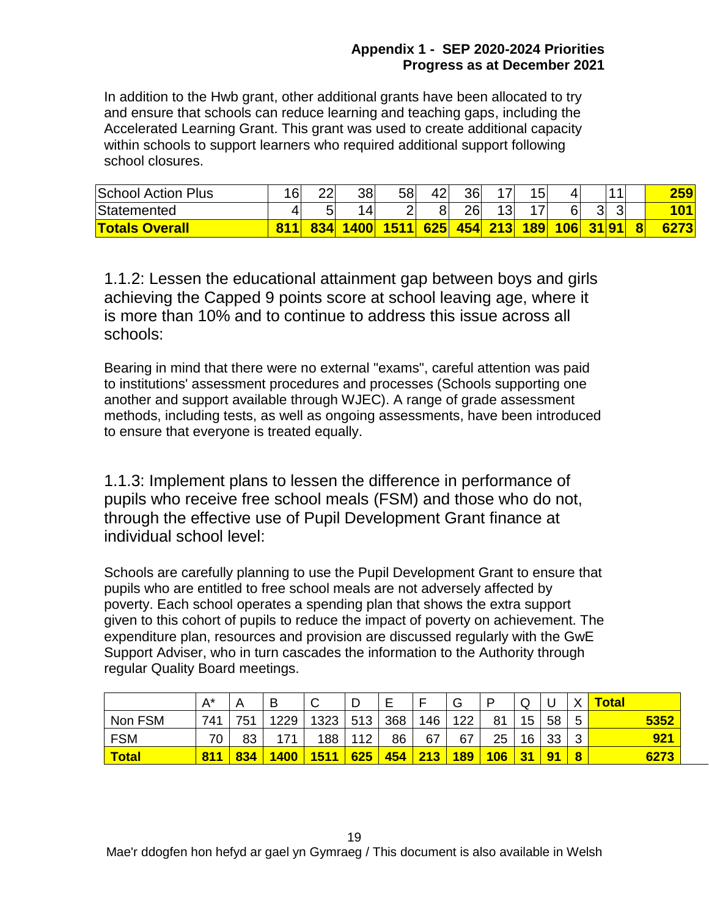#### **Appendix 1 - SEP 2020-2024 Priorities Progress as at December 2021**

In addition to the Hwb grant, other additional grants have been allocated to try and ensure that schools can reduce learning and teaching gaps, including the Accelerated Learning Grant. This grant was used to create additional capacity within schools to support learners who required additional support following school closures.

| <b>School Action Plus</b> | 16 | つつ<br>ᅩ   | 38 | 58   | 42  | 36 |                | 4 E<br>ັ                 |     |    |  | 259 |
|---------------------------|----|-----------|----|------|-----|----|----------------|--------------------------|-----|----|--|-----|
| Statemented               |    | Е,        | 4  |      |     | 26 | 12<br>ັ        | $\overline{\phantom{a}}$ | 6   | 31 |  |     |
| <b>Totals Overall</b>     |    | 83<br>24I |    | 1511 | 625 |    | <b>454 213</b> | 189                      | 106 |    |  |     |

1.1.2: Lessen the educational attainment gap between boys and girls achieving the Capped 9 points score at school leaving age, where it is more than 10% and to continue to address this issue across all schools:

Bearing in mind that there were no external "exams", careful attention was paid to institutions' assessment procedures and processes (Schools supporting one another and support available through WJEC). A range of grade assessment methods, including tests, as well as ongoing assessments, have been introduced to ensure that everyone is treated equally.

1.1.3: Implement plans to lessen the difference in performance of pupils who receive free school meals (FSM) and those who do not, through the effective use of Pupil Development Grant finance at individual school level:

Schools are carefully planning to use the Pupil Development Grant to ensure that pupils who are entitled to free school meals are not adversely affected by poverty. Each school operates a spending plan that shows the extra support given to this cohort of pupils to reduce the impact of poverty on achievement. The expenditure plan, resources and provision are discussed regularly with the GwE Support Adviser, who in turn cascades the information to the Authority through regular Quality Board meetings.

|            | $A^*$ |     | B          | $\sim$<br>ັ  | D   | E   |     | G                | P          | ◡  | ◡  |           | <b>Total</b> |
|------------|-------|-----|------------|--------------|-----|-----|-----|------------------|------------|----|----|-----------|--------------|
| Non FSM    | 741   | 751 | 1229       | 1323         | 513 | 368 | 146 | 122              | 81         | 15 | 58 | 5         | 5352         |
| <b>FSM</b> | 70    | 83  | 171        | 188          | 112 | 86  | 67  | 67               | 25         | 16 | 33 | ◠         | 921          |
| Total      | 81    | 834 | <b>A00</b> | <u> 1511</u> | 625 | 454 | 213 | <mark>189</mark> | <b>106</b> | 31 | 91 | $\bullet$ | 6273         |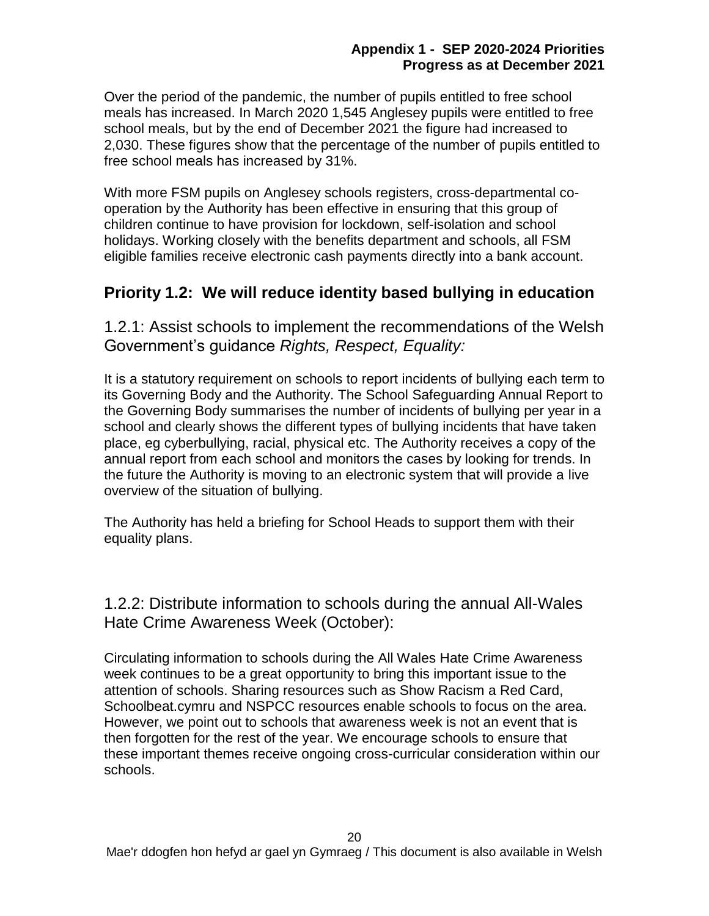Over the period of the pandemic, the number of pupils entitled to free school meals has increased. In March 2020 1,545 Anglesey pupils were entitled to free school meals, but by the end of December 2021 the figure had increased to 2,030. These figures show that the percentage of the number of pupils entitled to free school meals has increased by 31%.

With more FSM pupils on Anglesey schools registers, cross-departmental cooperation by the Authority has been effective in ensuring that this group of children continue to have provision for lockdown, self-isolation and school holidays. Working closely with the benefits department and schools, all FSM eligible families receive electronic cash payments directly into a bank account.

## **Priority 1.2: We will reduce identity based bullying in education**

1.2.1: Assist schools to implement the recommendations of the Welsh Government's guidance *Rights, Respect, Equality:*

It is a statutory requirement on schools to report incidents of bullying each term to its Governing Body and the Authority. The School Safeguarding Annual Report to the Governing Body summarises the number of incidents of bullying per year in a school and clearly shows the different types of bullying incidents that have taken place, eg cyberbullying, racial, physical etc. The Authority receives a copy of the annual report from each school and monitors the cases by looking for trends. In the future the Authority is moving to an electronic system that will provide a live overview of the situation of bullying.

The Authority has held a briefing for School Heads to support them with their equality plans.

1.2.2: Distribute information to schools during the annual All-Wales Hate Crime Awareness Week (October):

Circulating information to schools during the All Wales Hate Crime Awareness week continues to be a great opportunity to bring this important issue to the attention of schools. Sharing resources such as Show Racism a Red Card, Schoolbeat.cymru and NSPCC resources enable schools to focus on the area. However, we point out to schools that awareness week is not an event that is then forgotten for the rest of the year. We encourage schools to ensure that these important themes receive ongoing cross-curricular consideration within our schools.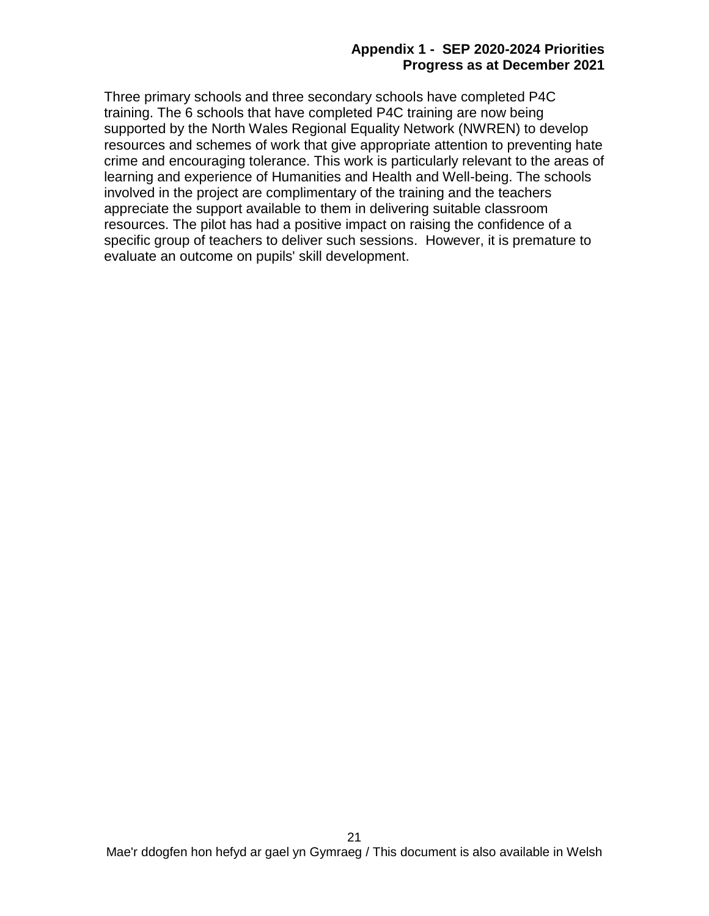#### **Appendix 1 - SEP 2020-2024 Priorities Progress as at December 2021**

Three primary schools and three secondary schools have completed P4C training. The 6 schools that have completed P4C training are now being supported by the North Wales Regional Equality Network (NWREN) to develop resources and schemes of work that give appropriate attention to preventing hate crime and encouraging tolerance. This work is particularly relevant to the areas of learning and experience of Humanities and Health and Well-being. The schools involved in the project are complimentary of the training and the teachers appreciate the support available to them in delivering suitable classroom resources. The pilot has had a positive impact on raising the confidence of a specific group of teachers to deliver such sessions. However, it is premature to evaluate an outcome on pupils' skill development.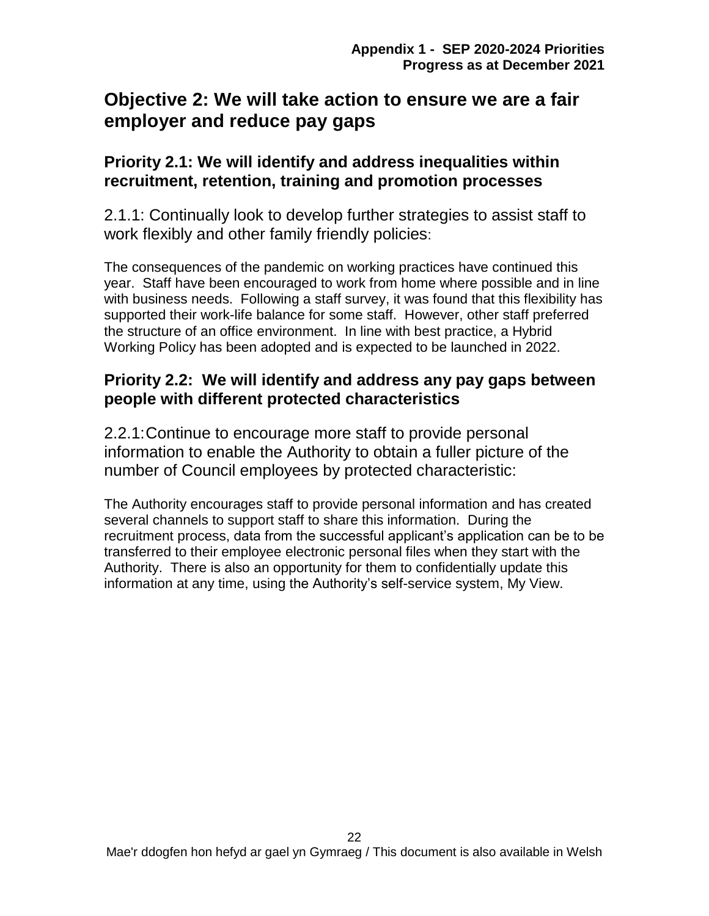# **Objective 2: We will take action to ensure we are a fair employer and reduce pay gaps**

## **Priority 2.1: We will identify and address inequalities within recruitment, retention, training and promotion processes**

2.1.1: Continually look to develop further strategies to assist staff to work flexibly and other family friendly policies:

The consequences of the pandemic on working practices have continued this year. Staff have been encouraged to work from home where possible and in line with business needs. Following a staff survey, it was found that this flexibility has supported their work-life balance for some staff. However, other staff preferred the structure of an office environment. In line with best practice, a Hybrid Working Policy has been adopted and is expected to be launched in 2022.

## **Priority 2.2: We will identify and address any pay gaps between people with different protected characteristics**

2.2.1:Continue to encourage more staff to provide personal information to enable the Authority to obtain a fuller picture of the number of Council employees by protected characteristic:

The Authority encourages staff to provide personal information and has created several channels to support staff to share this information. During the recruitment process, data from the successful applicant's application can be to be transferred to their employee electronic personal files when they start with the Authority. There is also an opportunity for them to confidentially update this information at any time, using the Authority's self-service system, My View.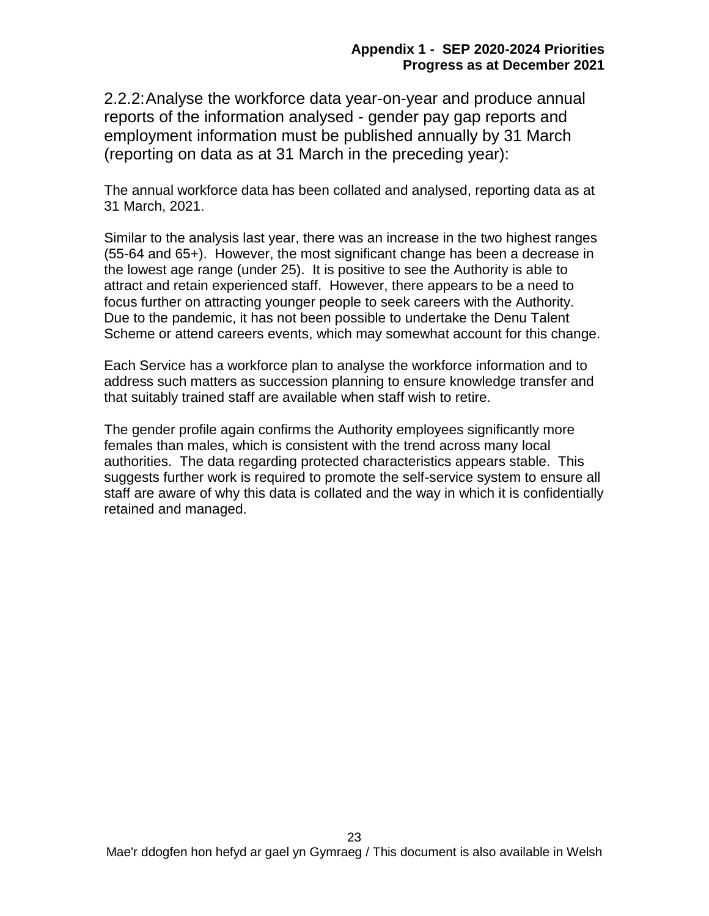2.2.2:Analyse the workforce data year-on-year and produce annual reports of the information analysed - gender pay gap reports and employment information must be published annually by 31 March (reporting on data as at 31 March in the preceding year):

The annual workforce data has been collated and analysed, reporting data as at 31 March, 2021.

Similar to the analysis last year, there was an increase in the two highest ranges (55-64 and 65+). However, the most significant change has been a decrease in the lowest age range (under 25). It is positive to see the Authority is able to attract and retain experienced staff. However, there appears to be a need to focus further on attracting younger people to seek careers with the Authority. Due to the pandemic, it has not been possible to undertake the Denu Talent Scheme or attend careers events, which may somewhat account for this change.

Each Service has a workforce plan to analyse the workforce information and to address such matters as succession planning to ensure knowledge transfer and that suitably trained staff are available when staff wish to retire.

The gender profile again confirms the Authority employees significantly more females than males, which is consistent with the trend across many local authorities. The data regarding protected characteristics appears stable. This suggests further work is required to promote the self-service system to ensure all staff are aware of why this data is collated and the way in which it is confidentially retained and managed.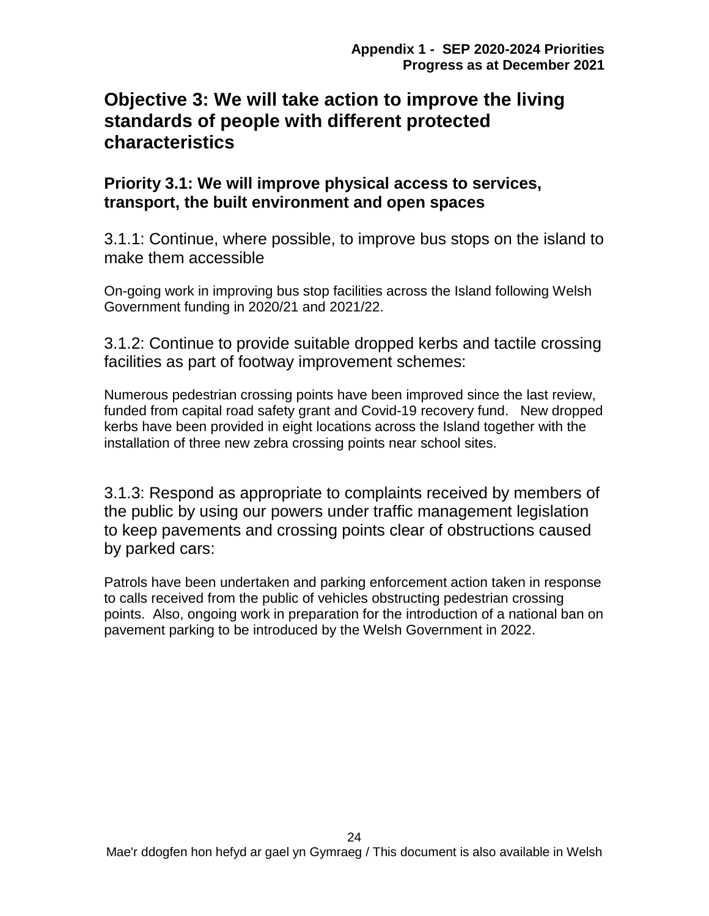# **Objective 3: We will take action to improve the living standards of people with different protected characteristics**

## **Priority 3.1: We will improve physical access to services, transport, the built environment and open spaces**

3.1.1: Continue, where possible, to improve bus stops on the island to make them accessible

On-going work in improving bus stop facilities across the Island following Welsh Government funding in 2020/21 and 2021/22.

3.1.2: Continue to provide suitable dropped kerbs and tactile crossing facilities as part of footway improvement schemes:

Numerous pedestrian crossing points have been improved since the last review, funded from capital road safety grant and Covid-19 recovery fund. New dropped kerbs have been provided in eight locations across the Island together with the installation of three new zebra crossing points near school sites.

3.1.3: Respond as appropriate to complaints received by members of the public by using our powers under traffic management legislation to keep pavements and crossing points clear of obstructions caused by parked cars:

Patrols have been undertaken and parking enforcement action taken in response to calls received from the public of vehicles obstructing pedestrian crossing points. Also, ongoing work in preparation for the introduction of a national ban on pavement parking to be introduced by the Welsh Government in 2022.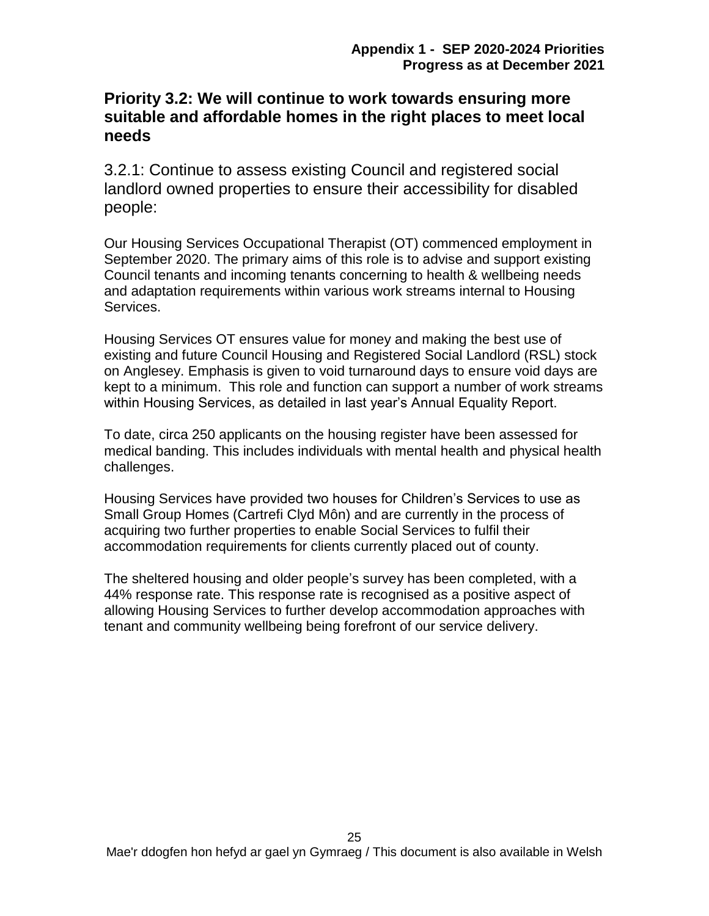## **Priority 3.2: We will continue to work towards ensuring more suitable and affordable homes in the right places to meet local needs**

3.2.1: Continue to assess existing Council and registered social landlord owned properties to ensure their accessibility for disabled people:

Our Housing Services Occupational Therapist (OT) commenced employment in September 2020. The primary aims of this role is to advise and support existing Council tenants and incoming tenants concerning to health & wellbeing needs and adaptation requirements within various work streams internal to Housing Services.

Housing Services OT ensures value for money and making the best use of existing and future Council Housing and Registered Social Landlord (RSL) stock on Anglesey. Emphasis is given to void turnaround days to ensure void days are kept to a minimum. This role and function can support a number of work streams within Housing Services, as detailed in last year's Annual Equality Report.

To date, circa 250 applicants on the housing register have been assessed for medical banding. This includes individuals with mental health and physical health challenges.

Housing Services have provided two houses for Children's Services to use as Small Group Homes (Cartrefi Clyd Môn) and are currently in the process of acquiring two further properties to enable Social Services to fulfil their accommodation requirements for clients currently placed out of county.

The sheltered housing and older people's survey has been completed, with a 44% response rate. This response rate is recognised as a positive aspect of allowing Housing Services to further develop accommodation approaches with tenant and community wellbeing being forefront of our service delivery.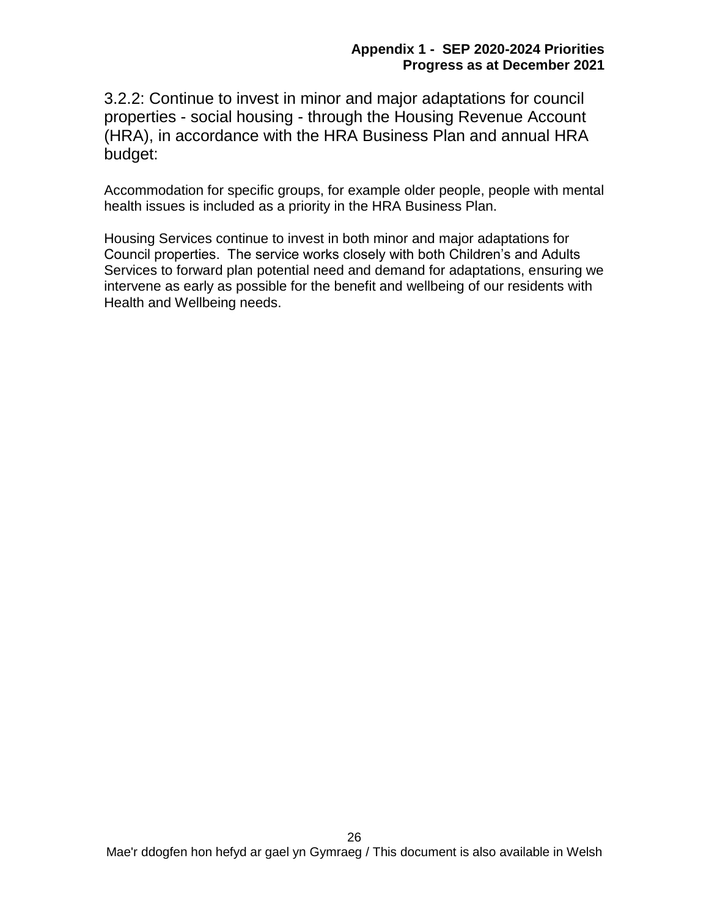3.2.2: Continue to invest in minor and major adaptations for council properties - social housing - through the Housing Revenue Account (HRA), in accordance with the HRA Business Plan and annual HRA budget:

Accommodation for specific groups, for example older people, people with mental health issues is included as a priority in the HRA Business Plan.

Housing Services continue to invest in both minor and major adaptations for Council properties. The service works closely with both Children's and Adults Services to forward plan potential need and demand for adaptations, ensuring we intervene as early as possible for the benefit and wellbeing of our residents with Health and Wellbeing needs.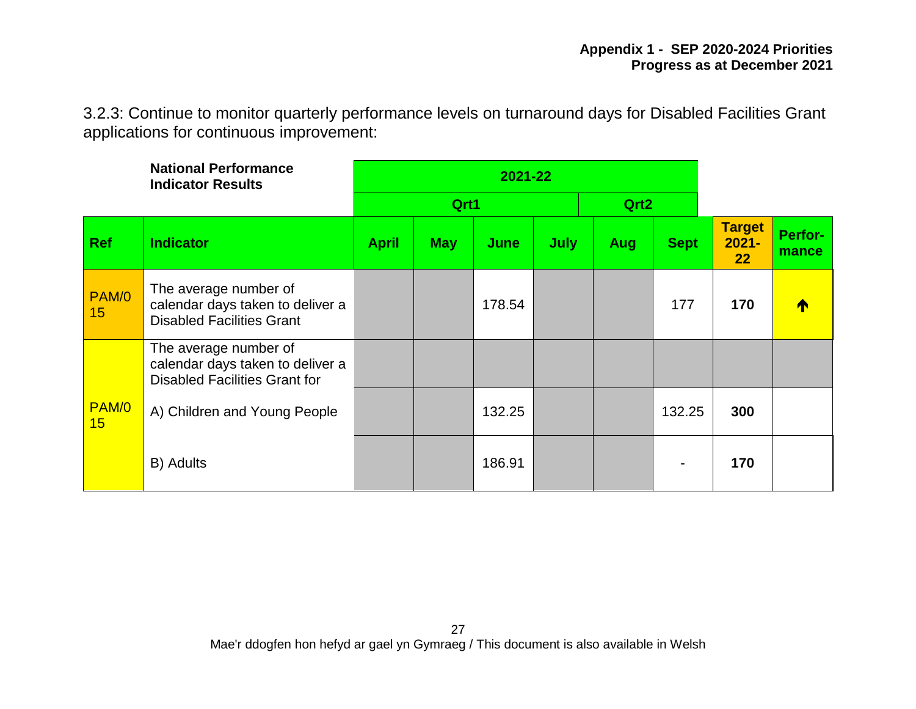3.2.3: Continue to monitor quarterly performance levels on turnaround days for Disabled Facilities Grant applications for continuous improvement:

|             | <b>National Performance</b><br><b>Indicator Results</b>                                           |              |            |        |             |                  |             |                                 |                  |
|-------------|---------------------------------------------------------------------------------------------------|--------------|------------|--------|-------------|------------------|-------------|---------------------------------|------------------|
|             |                                                                                                   |              | Qrt1       |        |             | Qrt <sub>2</sub> |             |                                 |                  |
| <b>Ref</b>  | <b>Indicator</b>                                                                                  | <b>April</b> | <b>May</b> | June   | <b>July</b> | <b>Aug</b>       | <b>Sept</b> | <b>Target</b><br>$2021 -$<br>22 | Perfor-<br>mance |
| PAM/0<br>15 | The average number of<br>calendar days taken to deliver a<br><b>Disabled Facilities Grant</b>     |              |            | 178.54 |             |                  | 177         | 170                             |                  |
|             | The average number of<br>calendar days taken to deliver a<br><b>Disabled Facilities Grant for</b> |              |            |        |             |                  |             |                                 |                  |
| PAM/0<br>15 | A) Children and Young People                                                                      |              |            | 132.25 |             |                  | 132.25      | 300                             |                  |
|             | B) Adults                                                                                         |              |            | 186.91 |             |                  |             | 170                             |                  |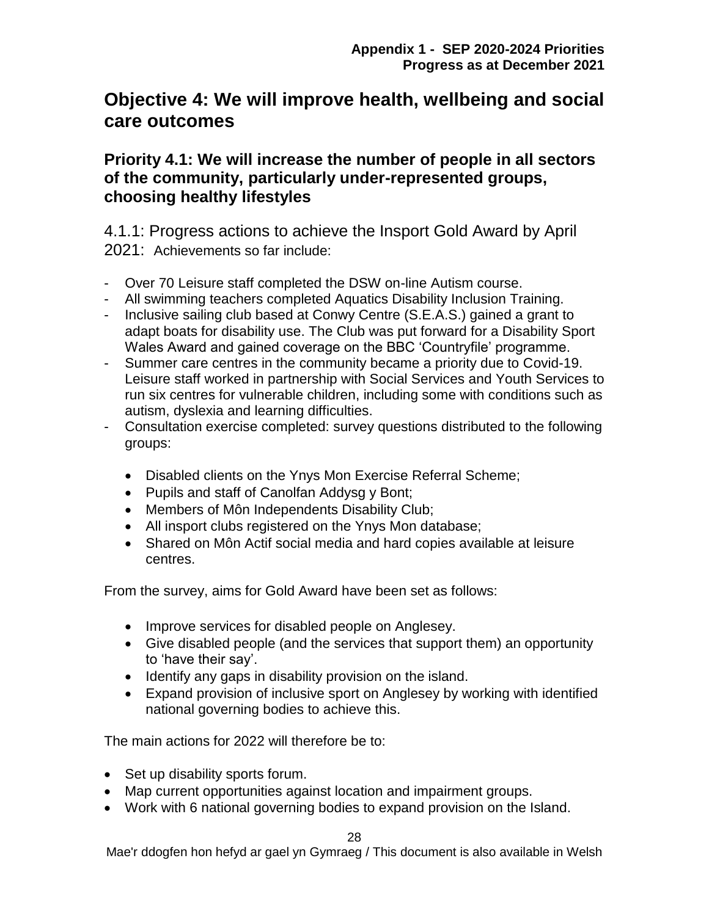# **Objective 4: We will improve health, wellbeing and social care outcomes**

## **Priority 4.1: We will increase the number of people in all sectors of the community, particularly under-represented groups, choosing healthy lifestyles**

4.1.1: Progress actions to achieve the Insport Gold Award by April 2021: Achievements so far include:

- Over 70 Leisure staff completed the DSW on-line Autism course.
- All swimming teachers completed Aquatics Disability Inclusion Training.
- Inclusive sailing club based at Conwy Centre (S.E.A.S.) gained a grant to adapt boats for disability use. The Club was put forward for a Disability Sport Wales Award and gained coverage on the BBC 'Countryfile' programme.
- Summer care centres in the community became a priority due to Covid-19. Leisure staff worked in partnership with Social Services and Youth Services to run six centres for vulnerable children, including some with conditions such as autism, dyslexia and learning difficulties.
- Consultation exercise completed: survey questions distributed to the following groups:
	- Disabled clients on the Ynys Mon Exercise Referral Scheme;
	- Pupils and staff of Canolfan Addysg y Bont;
	- Members of Môn Independents Disability Club;
	- All insport clubs registered on the Ynys Mon database;
	- Shared on Môn Actif social media and hard copies available at leisure centres.

From the survey, aims for Gold Award have been set as follows:

- Improve services for disabled people on Anglesey.
- Give disabled people (and the services that support them) an opportunity to 'have their say'.
- Identify any gaps in disability provision on the island.
- Expand provision of inclusive sport on Anglesey by working with identified national governing bodies to achieve this.

The main actions for 2022 will therefore be to:

- Set up disability sports forum.
- Map current opportunities against location and impairment groups.
- Work with 6 national governing bodies to expand provision on the Island.

28

Mae'r ddogfen hon hefyd ar gael yn Gymraeg / This document is also available in Welsh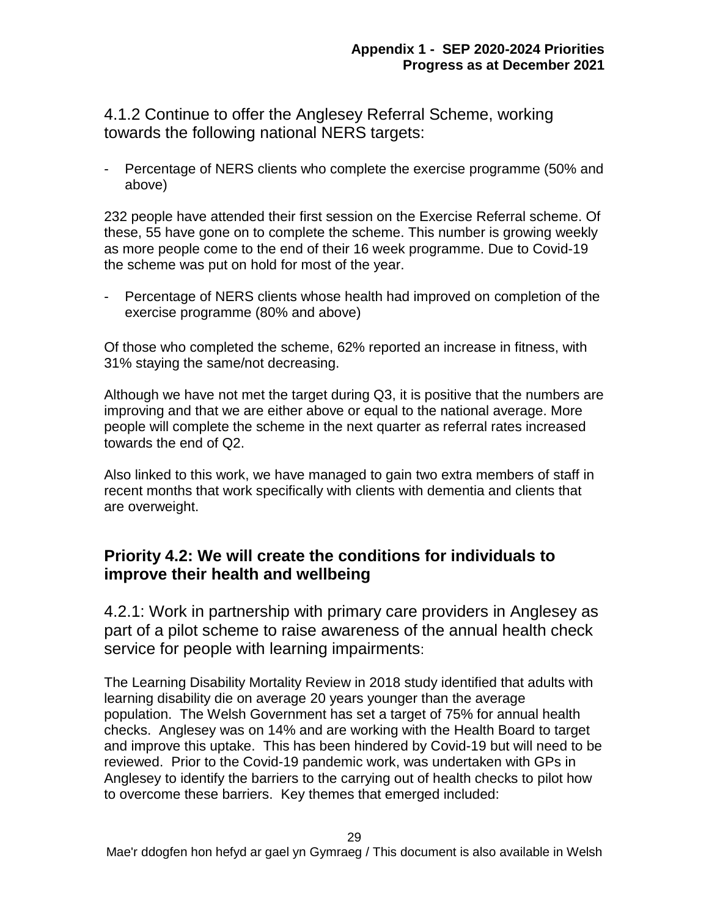## 4.1.2 Continue to offer the Anglesey Referral Scheme, working towards the following national NERS targets:

Percentage of NERS clients who complete the exercise programme (50% and above)

232 people have attended their first session on the Exercise Referral scheme. Of these, 55 have gone on to complete the scheme. This number is growing weekly as more people come to the end of their 16 week programme. Due to Covid-19 the scheme was put on hold for most of the year.

- Percentage of NERS clients whose health had improved on completion of the exercise programme (80% and above)

Of those who completed the scheme, 62% reported an increase in fitness, with 31% staying the same/not decreasing.

Although we have not met the target during Q3, it is positive that the numbers are improving and that we are either above or equal to the national average. More people will complete the scheme in the next quarter as referral rates increased towards the end of Q2.

Also linked to this work, we have managed to gain two extra members of staff in recent months that work specifically with clients with dementia and clients that are overweight.

## **Priority 4.2: We will create the conditions for individuals to improve their health and wellbeing**

4.2.1: Work in partnership with primary care providers in Anglesey as part of a pilot scheme to raise awareness of the annual health check service for people with learning impairments:

The Learning Disability Mortality Review in 2018 study identified that adults with learning disability die on average 20 years younger than the average population. The Welsh Government has set a target of 75% for annual health checks. Anglesey was on 14% and are working with the Health Board to target and improve this uptake. This has been hindered by Covid-19 but will need to be reviewed. Prior to the Covid-19 pandemic work, was undertaken with GPs in Anglesey to identify the barriers to the carrying out of health checks to pilot how to overcome these barriers. Key themes that emerged included: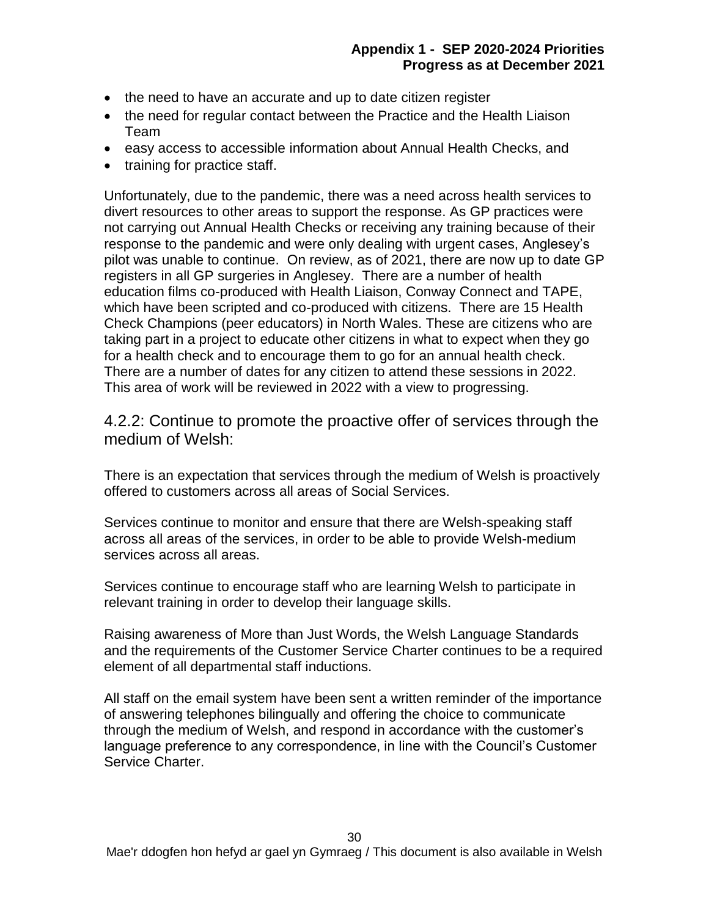- the need to have an accurate and up to date citizen register
- the need for regular contact between the Practice and the Health Liaison Team
- easy access to accessible information about Annual Health Checks, and
- training for practice staff.

Unfortunately, due to the pandemic, there was a need across health services to divert resources to other areas to support the response. As GP practices were not carrying out Annual Health Checks or receiving any training because of their response to the pandemic and were only dealing with urgent cases, Anglesey's pilot was unable to continue. On review, as of 2021, there are now up to date GP registers in all GP surgeries in Anglesey. There are a number of health education films co-produced with Health Liaison, Conway Connect and TAPE, which have been scripted and co-produced with citizens. There are 15 Health Check Champions (peer educators) in North Wales. These are citizens who are taking part in a project to educate other citizens in what to expect when they go for a health check and to encourage them to go for an annual health check. There are a number of dates for any citizen to attend these sessions in 2022. This area of work will be reviewed in 2022 with a view to progressing.

4.2.2: Continue to promote the proactive offer of services through the medium of Welsh:

There is an expectation that services through the medium of Welsh is proactively offered to customers across all areas of Social Services.

Services continue to monitor and ensure that there are Welsh-speaking staff across all areas of the services, in order to be able to provide Welsh-medium services across all areas.

Services continue to encourage staff who are learning Welsh to participate in relevant training in order to develop their language skills.

Raising awareness of More than Just Words, the Welsh Language Standards and the requirements of the Customer Service Charter continues to be a required element of all departmental staff inductions.

All staff on the email system have been sent a written reminder of the importance of answering telephones bilingually and offering the choice to communicate through the medium of Welsh, and respond in accordance with the customer's language preference to any correspondence, in line with the Council's Customer Service Charter.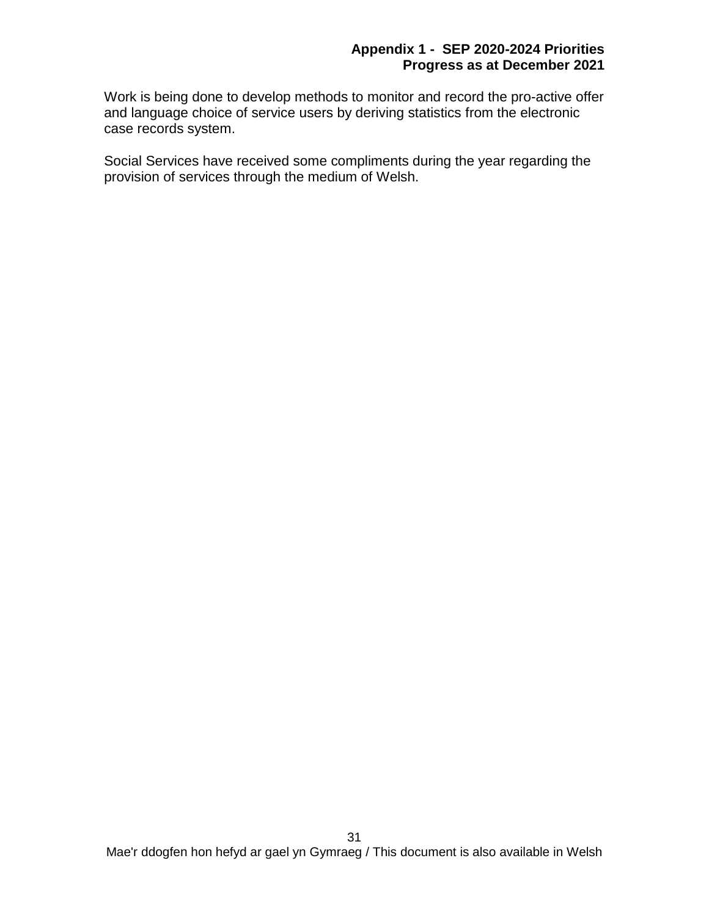Work is being done to develop methods to monitor and record the pro-active offer and language choice of service users by deriving statistics from the electronic case records system.

Social Services have received some compliments during the year regarding the provision of services through the medium of Welsh.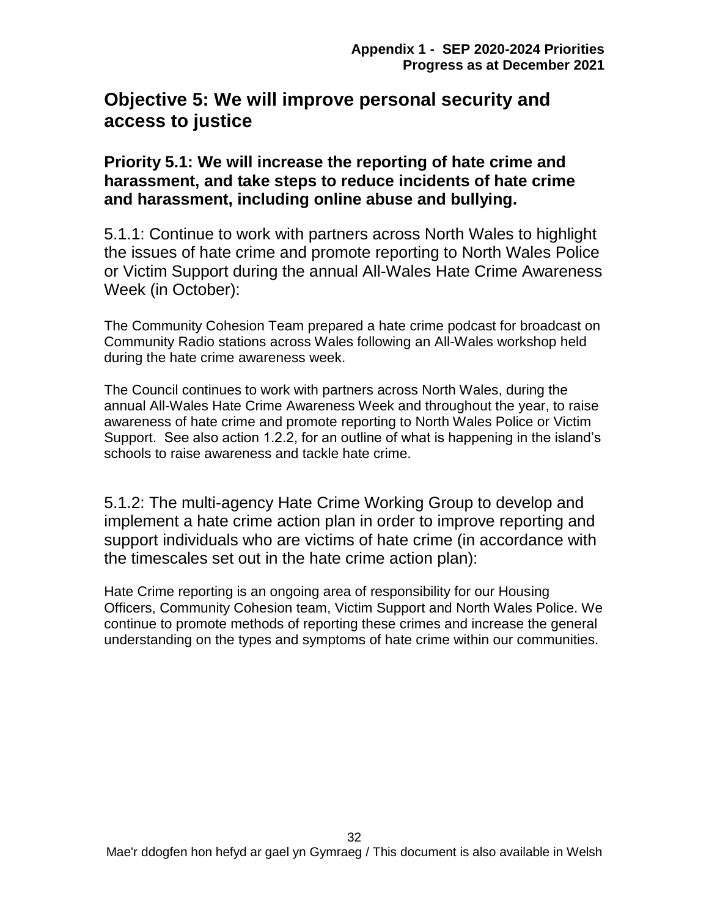# **Objective 5: We will improve personal security and access to justice**

**Priority 5.1: We will increase the reporting of hate crime and harassment, and take steps to reduce incidents of hate crime and harassment, including online abuse and bullying.**

5.1.1: Continue to work with partners across North Wales to highlight the issues of hate crime and promote reporting to North Wales Police or Victim Support during the annual All-Wales Hate Crime Awareness Week (in October):

The Community Cohesion Team prepared a hate crime podcast for broadcast on Community Radio stations across Wales following an All-Wales workshop held during the hate crime awareness week.

The Council continues to work with partners across North Wales, during the annual All-Wales Hate Crime Awareness Week and throughout the year, to raise awareness of hate crime and promote reporting to North Wales Police or Victim Support. See also action 1.2.2, for an outline of what is happening in the island's schools to raise awareness and tackle hate crime.

5.1.2: The multi-agency Hate Crime Working Group to develop and implement a hate crime action plan in order to improve reporting and support individuals who are victims of hate crime (in accordance with the timescales set out in the hate crime action plan):

Hate Crime reporting is an ongoing area of responsibility for our Housing Officers, Community Cohesion team, Victim Support and North Wales Police. We continue to promote methods of reporting these crimes and increase the general understanding on the types and symptoms of hate crime within our communities.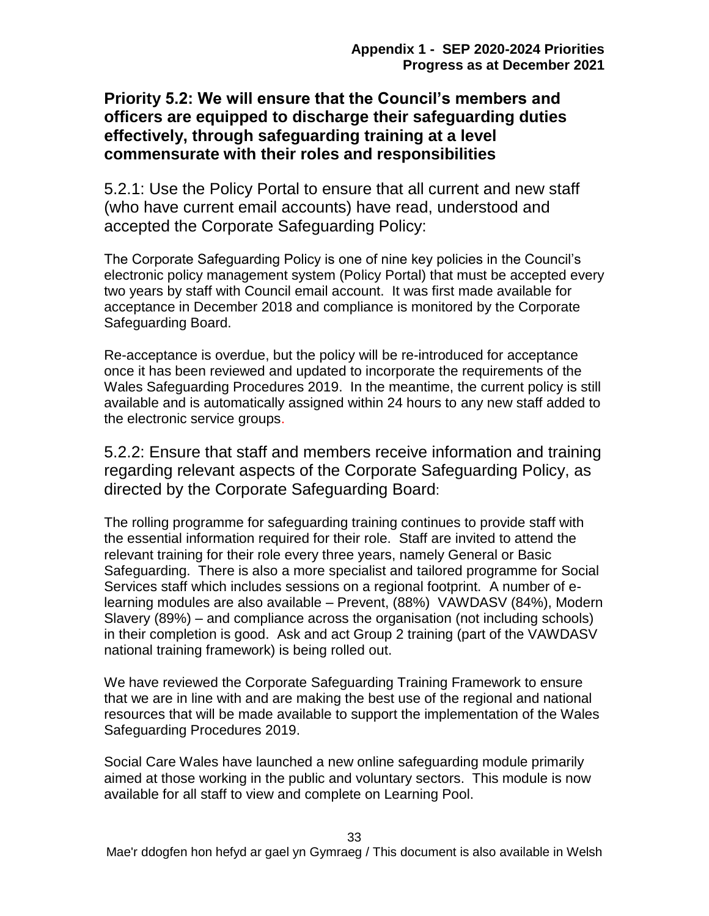## **Priority 5.2: We will ensure that the Council's members and officers are equipped to discharge their safeguarding duties effectively, through safeguarding training at a level commensurate with their roles and responsibilities**

5.2.1: Use the Policy Portal to ensure that all current and new staff (who have current email accounts) have read, understood and accepted the Corporate Safeguarding Policy:

The Corporate Safeguarding Policy is one of nine key policies in the Council's electronic policy management system (Policy Portal) that must be accepted every two years by staff with Council email account. It was first made available for acceptance in December 2018 and compliance is monitored by the Corporate Safeguarding Board.

Re-acceptance is overdue, but the policy will be re-introduced for acceptance once it has been reviewed and updated to incorporate the requirements of the Wales Safeguarding Procedures 2019. In the meantime, the current policy is still available and is automatically assigned within 24 hours to any new staff added to the electronic service groups.

5.2.2: Ensure that staff and members receive information and training regarding relevant aspects of the Corporate Safeguarding Policy, as directed by the Corporate Safeguarding Board:

The rolling programme for safeguarding training continues to provide staff with the essential information required for their role. Staff are invited to attend the relevant training for their role every three years, namely General or Basic Safeguarding. There is also a more specialist and tailored programme for Social Services staff which includes sessions on a regional footprint. A number of elearning modules are also available – Prevent, (88%) VAWDASV (84%), Modern Slavery (89%) – and compliance across the organisation (not including schools) in their completion is good. Ask and act Group 2 training (part of the VAWDASV national training framework) is being rolled out.

We have reviewed the Corporate Safeguarding Training Framework to ensure that we are in line with and are making the best use of the regional and national resources that will be made available to support the implementation of the Wales Safeguarding Procedures 2019.

Social Care Wales have launched a new online safeguarding module primarily aimed at those working in the public and voluntary sectors. This module is now available for all staff to view and complete on Learning Pool.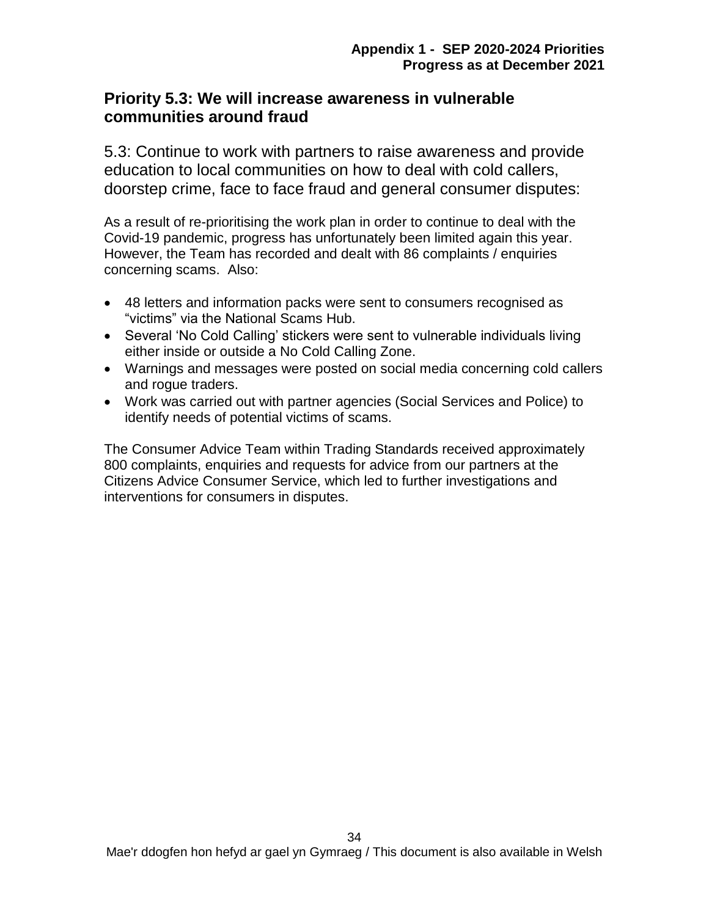#### **Priority 5.3: We will increase awareness in vulnerable communities around fraud**

5.3: Continue to work with partners to raise awareness and provide education to local communities on how to deal with cold callers, doorstep crime, face to face fraud and general consumer disputes:

As a result of re-prioritising the work plan in order to continue to deal with the Covid-19 pandemic, progress has unfortunately been limited again this year. However, the Team has recorded and dealt with 86 complaints / enquiries concerning scams. Also:

- 48 letters and information packs were sent to consumers recognised as "victims" via the National Scams Hub.
- Several 'No Cold Calling' stickers were sent to vulnerable individuals living either inside or outside a No Cold Calling Zone.
- Warnings and messages were posted on social media concerning cold callers and rogue traders.
- Work was carried out with partner agencies (Social Services and Police) to identify needs of potential victims of scams.

The Consumer Advice Team within Trading Standards received approximately 800 complaints, enquiries and requests for advice from our partners at the Citizens Advice Consumer Service, which led to further investigations and interventions for consumers in disputes.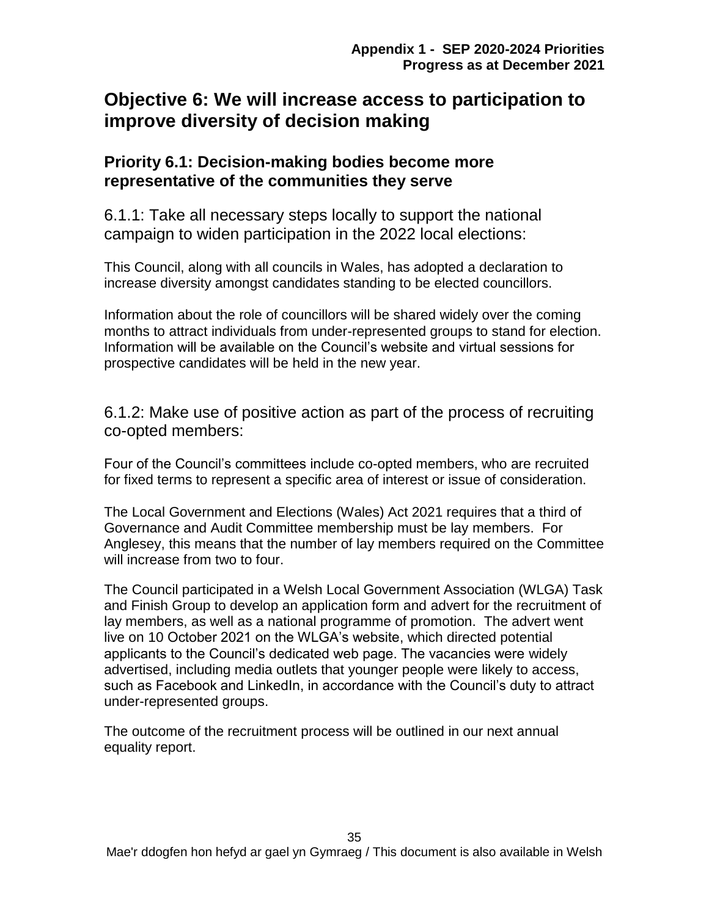# **Objective 6: We will increase access to participation to improve diversity of decision making**

## **Priority 6.1: Decision-making bodies become more representative of the communities they serve**

6.1.1: Take all necessary steps locally to support the national campaign to widen participation in the 2022 local elections:

This Council, along with all councils in Wales, has adopted a declaration to increase diversity amongst candidates standing to be elected councillors.

Information about the role of councillors will be shared widely over the coming months to attract individuals from under-represented groups to stand for election. Information will be available on the Council's website and virtual sessions for prospective candidates will be held in the new year.

6.1.2: Make use of positive action as part of the process of recruiting co-opted members:

Four of the Council's committees include co-opted members, who are recruited for fixed terms to represent a specific area of interest or issue of consideration.

The Local Government and Elections (Wales) Act 2021 requires that a third of Governance and Audit Committee membership must be lay members. For Anglesey, this means that the number of lay members required on the Committee will increase from two to four.

The Council participated in a Welsh Local Government Association (WLGA) Task and Finish Group to develop an application form and advert for the recruitment of lay members, as well as a national programme of promotion. The advert went live on 10 October 2021 on the WLGA's website, which directed potential applicants to the Council's dedicated web page. The vacancies were widely advertised, including media outlets that younger people were likely to access, such as Facebook and LinkedIn, in accordance with the Council's duty to attract under-represented groups.

The outcome of the recruitment process will be outlined in our next annual equality report.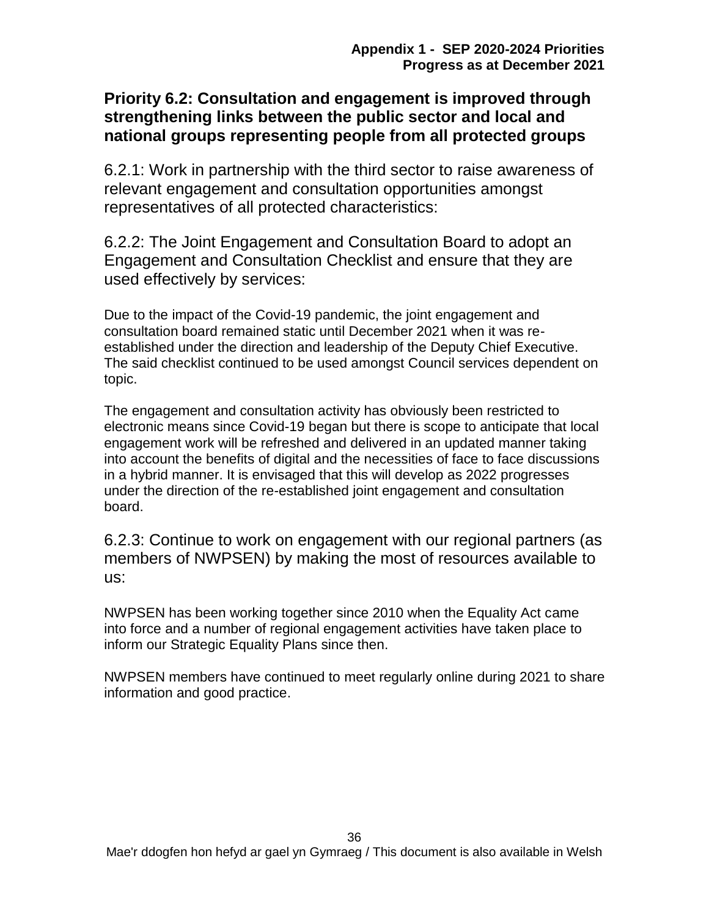## **Priority 6.2: Consultation and engagement is improved through strengthening links between the public sector and local and national groups representing people from all protected groups**

6.2.1: Work in partnership with the third sector to raise awareness of relevant engagement and consultation opportunities amongst representatives of all protected characteristics:

6.2.2: The Joint Engagement and Consultation Board to adopt an Engagement and Consultation Checklist and ensure that they are used effectively by services:

Due to the impact of the Covid-19 pandemic, the joint engagement and consultation board remained static until December 2021 when it was reestablished under the direction and leadership of the Deputy Chief Executive. The said checklist continued to be used amongst Council services dependent on topic.

The engagement and consultation activity has obviously been restricted to electronic means since Covid-19 began but there is scope to anticipate that local engagement work will be refreshed and delivered in an updated manner taking into account the benefits of digital and the necessities of face to face discussions in a hybrid manner. It is envisaged that this will develop as 2022 progresses under the direction of the re-established joint engagement and consultation board.

6.2.3: Continue to work on engagement with our regional partners (as members of NWPSEN) by making the most of resources available to us:

NWPSEN has been working together since 2010 when the Equality Act came into force and a number of regional engagement activities have taken place to inform our Strategic Equality Plans since then.

NWPSEN members have continued to meet regularly online during 2021 to share information and good practice.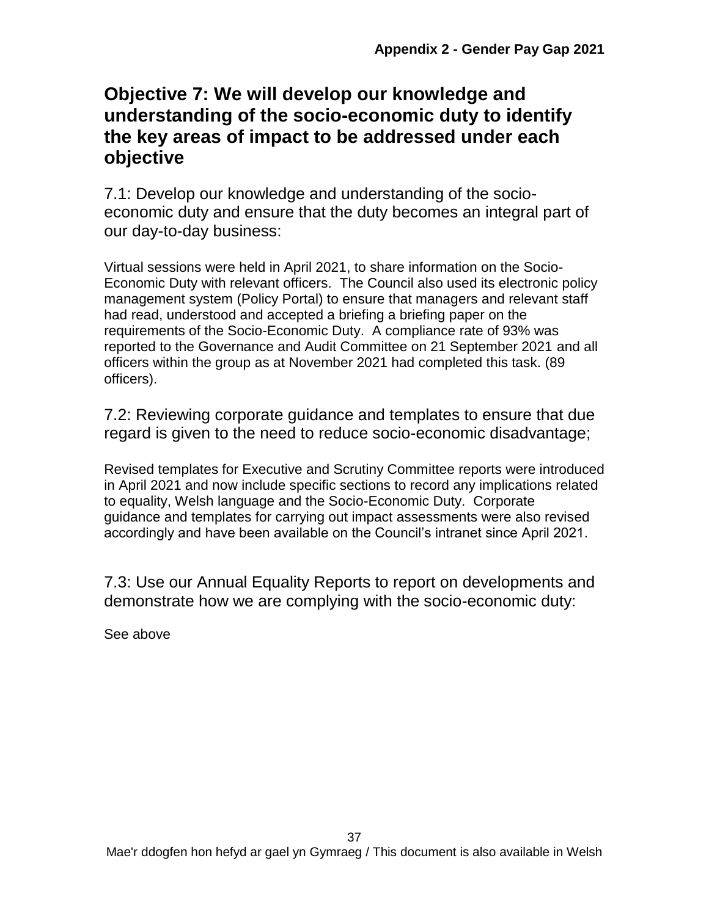# **Objective 7: We will develop our knowledge and understanding of the socio-economic duty to identify the key areas of impact to be addressed under each objective**

7.1: Develop our knowledge and understanding of the socioeconomic duty and ensure that the duty becomes an integral part of our day-to-day business:

Virtual sessions were held in April 2021, to share information on the Socio-Economic Duty with relevant officers. The Council also used its electronic policy management system (Policy Portal) to ensure that managers and relevant staff had read, understood and accepted a briefing a briefing paper on the requirements of the Socio-Economic Duty. A compliance rate of 93% was reported to the Governance and Audit Committee on 21 September 2021 and all officers within the group as at November 2021 had completed this task. (89 officers).

7.2: Reviewing corporate guidance and templates to ensure that due regard is given to the need to reduce socio-economic disadvantage;

Revised templates for Executive and Scrutiny Committee reports were introduced in April 2021 and now include specific sections to record any implications related to equality, Welsh language and the Socio-Economic Duty. Corporate guidance and templates for carrying out impact assessments were also revised accordingly and have been available on the Council's intranet since April 2021.

7.3: Use our Annual Equality Reports to report on developments and demonstrate how we are complying with the socio-economic duty:

See above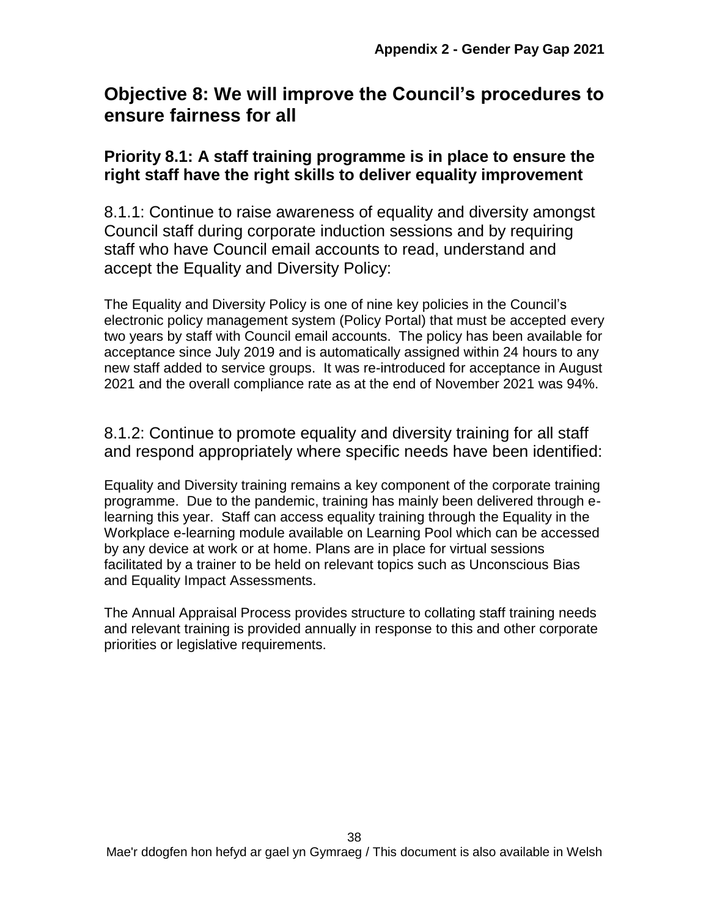# **Objective 8: We will improve the Council's procedures to ensure fairness for all**

## **Priority 8.1: A staff training programme is in place to ensure the right staff have the right skills to deliver equality improvement**

8.1.1: Continue to raise awareness of equality and diversity amongst Council staff during corporate induction sessions and by requiring staff who have Council email accounts to read, understand and accept the Equality and Diversity Policy:

The Equality and Diversity Policy is one of nine key policies in the Council's electronic policy management system (Policy Portal) that must be accepted every two years by staff with Council email accounts. The policy has been available for acceptance since July 2019 and is automatically assigned within 24 hours to any new staff added to service groups. It was re-introduced for acceptance in August 2021 and the overall compliance rate as at the end of November 2021 was 94%.

8.1.2: Continue to promote equality and diversity training for all staff and respond appropriately where specific needs have been identified:

Equality and Diversity training remains a key component of the corporate training programme. Due to the pandemic, training has mainly been delivered through elearning this year. Staff can access equality training through the Equality in the Workplace e-learning module available on Learning Pool which can be accessed by any device at work or at home. Plans are in place for virtual sessions facilitated by a trainer to be held on relevant topics such as Unconscious Bias and Equality Impact Assessments.

The Annual Appraisal Process provides structure to collating staff training needs and relevant training is provided annually in response to this and other corporate priorities or legislative requirements.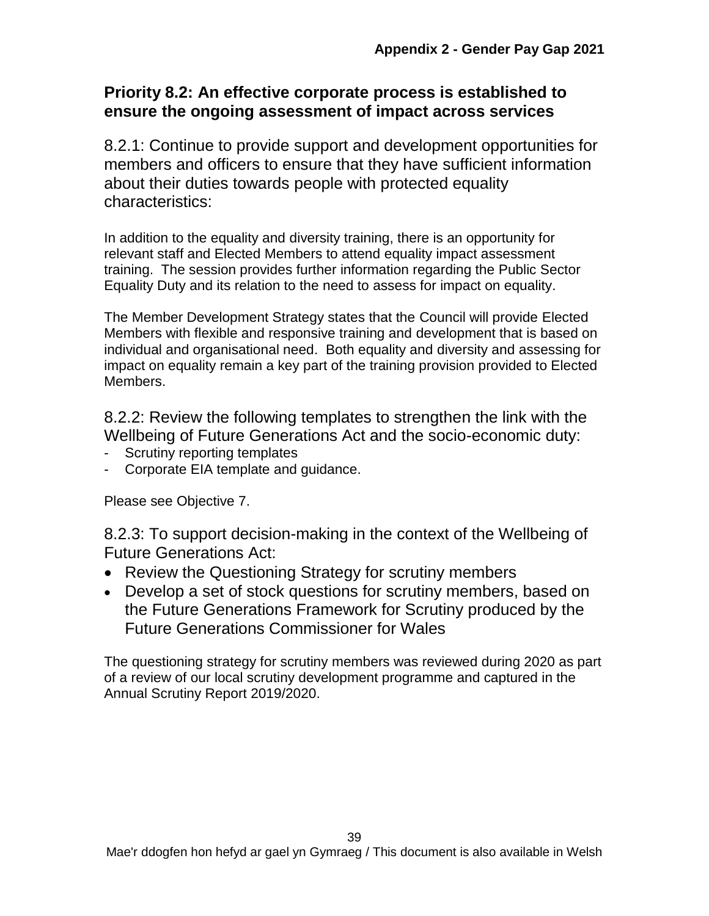## **Priority 8.2: An effective corporate process is established to ensure the ongoing assessment of impact across services**

8.2.1: Continue to provide support and development opportunities for members and officers to ensure that they have sufficient information about their duties towards people with protected equality characteristics:

In addition to the equality and diversity training, there is an opportunity for relevant staff and Elected Members to attend equality impact assessment training. The session provides further information regarding the Public Sector Equality Duty and its relation to the need to assess for impact on equality.

The Member Development Strategy states that the Council will provide Elected Members with flexible and responsive training and development that is based on individual and organisational need. Both equality and diversity and assessing for impact on equality remain a key part of the training provision provided to Elected Members.

8.2.2: Review the following templates to strengthen the link with the Wellbeing of Future Generations Act and the socio-economic duty:

- Scrutiny reporting templates
- Corporate EIA template and guidance.

Please see Objective 7.

8.2.3: To support decision-making in the context of the Wellbeing of Future Generations Act:

- Review the Questioning Strategy for scrutiny members
- Develop a set of stock questions for scrutiny members, based on the Future Generations Framework for Scrutiny produced by the Future Generations Commissioner for Wales

The questioning strategy for scrutiny members was reviewed during 2020 as part of a review of our local scrutiny development programme and captured in the Annual Scrutiny Report 2019/2020.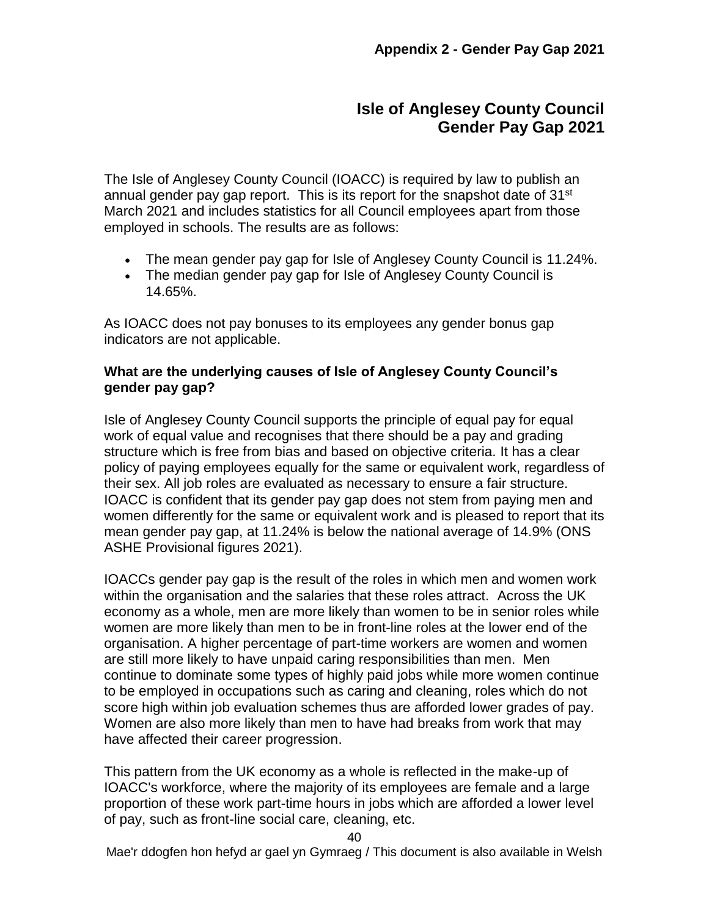## **Isle of Anglesey County Council Gender Pay Gap 2021**

The Isle of Anglesey County Council (IOACC) is required by law to publish an annual gender pay gap report. This is its report for the snapshot date of 31<sup>st</sup> March 2021 and includes statistics for all Council employees apart from those employed in schools. The results are as follows:

- The mean gender pay gap for Isle of Anglesey County Council is 11.24%.
- The median gender pay gap for Isle of Anglesey County Council is 14.65%.

As IOACC does not pay bonuses to its employees any gender bonus gap indicators are not applicable.

#### **What are the underlying causes of Isle of Anglesey County Council's gender pay gap?**

Isle of Anglesey County Council supports the principle of equal pay for equal work of equal value and recognises that there should be a pay and grading structure which is free from bias and based on objective criteria. It has a clear policy of paying employees equally for the same or equivalent work, regardless of their sex. All job roles are evaluated as necessary to ensure a fair structure. IOACC is confident that its gender pay gap does not stem from paying men and women differently for the same or equivalent work and is pleased to report that its mean gender pay gap, at 11.24% is below the national average of 14.9% (ONS ASHE Provisional figures 2021).

IOACCs gender pay gap is the result of the roles in which men and women work within the organisation and the salaries that these roles attract. Across the UK economy as a whole, men are more likely than women to be in senior roles while women are more likely than men to be in front-line roles at the lower end of the organisation. A higher percentage of part-time workers are women and women are still more likely to have unpaid caring responsibilities than men. Men continue to dominate some types of highly paid jobs while more women continue to be employed in occupations such as caring and cleaning, roles which do not score high within job evaluation schemes thus are afforded lower grades of pay. Women are also more likely than men to have had breaks from work that may have affected their career progression.

This pattern from the UK economy as a whole is reflected in the make-up of IOACC's workforce, where the majority of its employees are female and a large proportion of these work part-time hours in jobs which are afforded a lower level of pay, such as front-line social care, cleaning, etc.

Mae'r ddogfen hon hefyd ar gael yn Gymraeg / This document is also available in Welsh